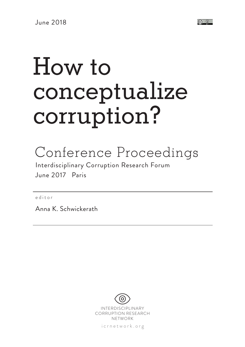$\circ$   $\circ$ 

# How to conceptualize corruption?

## Conference Proceedings

Interdisciplinary Corruption Research Forum June 2017 Paris

editor

Anna K. Schwickerath



icrnetwork.org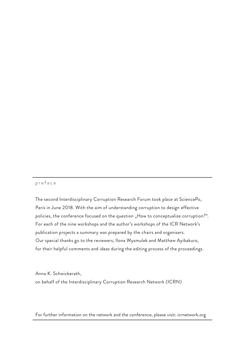#### preface

The second Interdisciplinary Corruption Research Forum took place at SciencePo, Paris in June 2018. With the aim of understanding corruption to design effective policies, the conference focused on the question "How to conceptualize corruption?". For each of the nine workshops and the author's workshops of the ICR Network's publication projects a summary was prepared by the chairs and organisers. Our special thanks go to the reviewers, Ilona Wysmulek and Matthew Ayibakuro, for their helpful comments and ideas during the editing process of the proceedings.

Anna K. Schwickerath, on behalf of the Interdisciplinary Corruption Research Network (ICRN)

For further information on the network and the conference, please visit: icrnetwork.org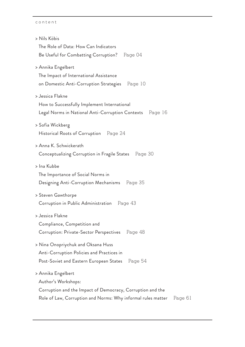#### content

| > Nils Köbis<br>The Role of Data: How Can Indicators<br>Be Useful for Combatting Corruption?<br>Page 04                                                                            |
|------------------------------------------------------------------------------------------------------------------------------------------------------------------------------------|
| > Annika Engelbert<br>The Impact of International Assistance<br>on Domestic Anti-Corruption Strategies Page 10                                                                     |
| > Jessica Flakne<br>How to Successfully Implement International<br>Legal Norms in National Anti-Corruption Contexts<br>Page 16                                                     |
| > Sofia Wickberg<br>Historical Roots of Corruption Page 24                                                                                                                         |
| > Anna K. Schwickerath<br>Conceptualizing Corruption in Fragile States Page 30                                                                                                     |
| > Ina Kubbe<br>The Importance of Social Norms in<br>Designing Anti-Corruption Mechanisms Page 35                                                                                   |
| > Steven Gawthorpe<br>Corruption in Public Administration Page 43                                                                                                                  |
| > Jessica Flakne<br>Compliance, Competition and<br>Corruption: Private-Sector Perspectives<br>Page 48                                                                              |
| > Nina Onopriychuk and Oksana Huss<br>Anti-Corruption Policies and Practices in<br>Post-Soviet and Eastern European States<br>Page 54                                              |
| > Annika Engelbert<br>Author's Workshops:<br>Corruption and the Impact of Democracy, Corruption and the<br>Role of Law, Corruption and Norms: Why informal rules matter<br>Page 61 |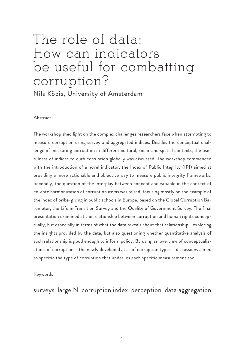## The role of data: How can indicators be useful for combatting corruption? Nils Köbis, University of Amsterdam

Abstract

The workshop shed light on the complex challenges researchers face when attempting to measure corruption using survey and aggregated indices. Besides the conceptual challenge of measuring corruption in different cultural, socio-and spatial contexts, the usefulness of indices to curb corruption globally was discussed. The workshop commenced with the introduction of a novel indicator, the Index of Public Integrity (IPI) aimed at providing a more actionable and objective way to measure public integrity frameworks. Secondly, the question of the interplay between concept and variable in the context of ex-ante harmonization of corruption items was raised, focusing mostly on the example of the index of bribe-giving in public schools in Europe, based on the Global Corruption Barometer, the Life in Transition Survey and the Quality of Government Survey. The final presentation examined at the relationship between corruption and human rights conceptually, but especially in terms of what the data reveals about that relationship - exploring the insights provided by the data, but also questioning whether quantitative analysis of such relationship is good enough to inform policy. By using an overview of conceptualizations of corruption – the newly developed atlas of corruption types – discussions aimed to specific the type of corruption that underlies each specific measurement tool.

Keywords

### surveys large N corruption index perception data aggregation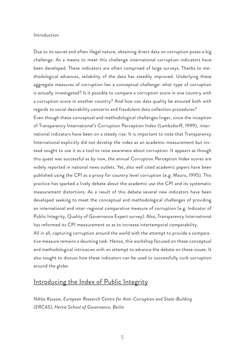#### Introduction

Due to its secret and often illegal nature, obtaining direct data on corruption poses a big challenge. As a means to meet this challenge international corruption indicators have been developed. These indicators are often comprised of large surveys. Thanks to methodological advances, reliability of the data has steadily improved. Underlying these aggregate measures of corruption lies a conceptual challenge: what type of corruption is actually investigated? Is it possible to compare a corruption score in one country with a corruption score in another country? And how can data quality be ensured both with regards to social desirability concerns and fraudulent data collection procedures?

Even though these conceptual and methodological challenges linger, since the inception of Transparency International's Corruption Perception Index (Lambsdorff, 1999), international indicators have been on a steady rise. It is important to note that Transparency International explicitly did not develop the index as an academic measurement but instead sought to use it as a tool to raise awareness about corruption. It appears as though this quest was successful as by now, the annual Corruption Perception Index scores are widely reported in national news outlets. Yet, also well cited academic papers have been published using the CPI as a proxy for country level corruption (e.g. Mauro, 1995). This practice has sparked a lively debate about the academic use the CPI and its systematic measurement distortions. As a result of this debate several new indicators have been developed seeking to meet the conceptual and methodological challenges of providing an international and inter-regional comparative measure of corruption (e.g. Indicator of Public Integrity, Quality of Governance Expert survey). Also, Transparency International has reformed its CPI measurement so as to increase intertemporal comparability.

All in all, capturing corruption around the world with the attempt to provide a comparative measure remains a daunting task. Hence, this workshop focused on these conceptual and methodological intricacies with an attempt to advance the debate on these issues. It also sought to discuss how these indicators can be used to successfully curb corruption around the globe.

### Introducing the Index of Public Integrity

*Niklas Kossow, European Research Centre for Anti-Corruption and State-Building (ERCAS), Hertie School of Governance, Berlin*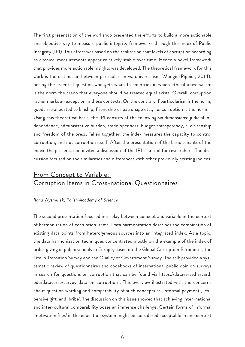The first presentation of the workshop presented the efforts to build a more actionable and objective way to measure public integrity frameworks through the Index of Public Integrity (IPI). This effort was based on the realization that levels of corruption according to classical measurements appear relatively stable over time. Hence a novel framework that provides more actionable insights was developed. The theoretical framework for this work is the distinction between particularism vs. universalism (Mungiu-Pippidi, 2014), posing the essential question who gets what. In countries in which ethical universalism is the norm the credo that everyone should be treated equal exists. Overall, corruption rather marks an exception in these contexts. On the contrary if particularism is the norm, goods are allocated to kinship, friendship or patronage etc., i.e. corruption is the norm. Using this theoretical basis, the IPI consists of the following six dimensions: judicial independence, administrative burden, trade openness, budget transparency, e-citizenship and freedom of the press. Taken together, the index measures the capacity to control corruption, and not corruption itself. After the presentation of the basic tenants of the index, the presentation invited a discussion of the IPI as a tool for researchers. The discussion focused on the similarities and differences with other previously existing indices.

## From Concept to Variable: Corruption Items in Cross-national Questionnaires

#### *Ilona Wysmulek, Polish Academy of Science*

The second presentation focused interplay between concept and variable in the context of harmonization of corruption items. Data harmonization describes the combination of existing data points from heterogeneous sources into an integrated index. As a topic, the data harmonization techniques concentrated mostly on the example of the index of bribe-giving in public schools in Europe, based on the Global Corruption Barometer, the Life in Transition Survey and the Quality of Government Survey. The talk provided a systematic review of questionnaires and codebooks of international public opinion surveys in search for questions on corruption that can be found via https://dataverse.harvard. edu/dataverse/survey\_data\_on\_corruption . This overview illustrated with the concerns about question wording and comparability of such concepts as , informal payment', , expensive gift' and ,bribe'. The discussion on this issue showed that achieving inter-national and inter-cultural comparability poses an immense challenge. Certain forms of informal 'motivation fees' in the education system might be considered acceptable in one context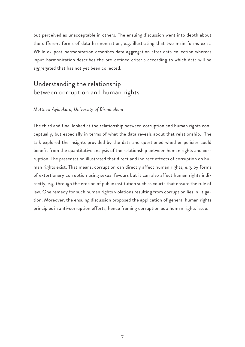but perceived as unacceptable in others. The ensuing discussion went into depth about the different forms of data harmonization, e.g. illustrating that two main forms exist. While ex-post-harmonization describes data aggregation after data collection whereas input-harmonization describes the pre-defined criteria according to which data will be aggregated that has not yet been collected.

## Understanding the relationship between corruption and human rights

#### *Matthew Ayibakuro, University of Birmingham*

The third and final looked at the relationship between corruption and human rights conceptually, but especially in terms of what the data reveals about that relationship. The talk explored the insights provided by the data and questioned whether policies could benefit from the quantitative analysis of the relationship between human rights and corruption. The presentation illustrated that direct and indirect effects of corruption on human rights exist. That means, corruption can directly affect human rights, e.g. by forms of extortionary corruption using sexual favours but it can also affect human rights indirectly, e.g. through the erosion of public institution such as courts that ensure the rule of law. One remedy for such human rights violations resulting from corruption lies in litigation. Moreover, the ensuing discussion proposed the application of general human rights principles in anti-corruption efforts, hence framing corruption as a human rights issue.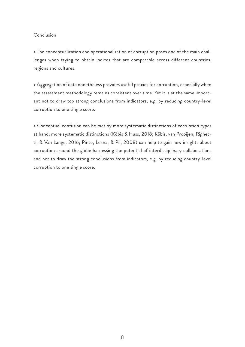#### Conclusion

> The conceptualization and operationalization of corruption poses one of the main challenges when trying to obtain indices that are comparable across different countries, regions and cultures.

> Aggregation of data nonetheless provides useful proxies for corruption, especially when the assessment methodology remains consistent over time. Yet it is at the same important not to draw too strong conclusions from indicators, e.g. by reducing country-level corruption to one single score.

> Conceptual confusion can be met by more systematic distinctions of corruption types at hand; more systematic distinctions (Köbis & Huss, 2018; Köbis, van Prooijen, Righetti, & Van Lange, 2016; Pinto, Leana, & Pil, 2008) can help to gain new insights about corruption around the globe harnessing the potential of interdisciplinary collaborations and not to draw too strong conclusions from indicators, e.g. by reducing country-level corruption to one single score.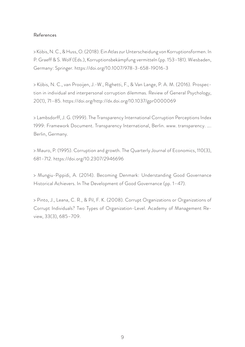#### References

> Köbis, N. C., & Huss, O. (2018). Ein Atlas zur Unterscheidung von Korruptionsformen. In P. Graeff & S. Wolf (Eds.), Korruptionsbekämpfung vermitteln (pp. 153–181). Wiesbaden, Germany: Springer. https://doi.org/10.1007/978-3-658-19016-3

> Köbis, N. C., van Prooijen, J.-W., Righetti, F., & Van Lange, P. A. M. (2016). Prospection in individual and interpersonal corruption dilemmas. Review of General Psychology, 20(1), 71–85. https://doi.org/http://dx.doi.org/10.1037/gpr0000069

> Lambsdorff, J. G. (1999). The Transparency International Corruption Perceptions Index 1999: Framework Document. Transparency International, Berlin. www. transparency. …. Berlin, Germany.

> Mauro, P. (1995). Corruption and growth. The Quarterly Journal of Economics, 110(3), 681–712. https://doi.org/10.2307/2946696

> Mungiu-Pippidi, A. (2014). Becoming Denmark: Understanding Good Governance Historical Achievers. In The Development of Good Governance (pp. 1–47).

> Pinto, J., Leana, C. R., & Pil, F. K. (2008). Corrupt Organizations or Organizations of Corrupt Individuals? Two Types of Organization-Level. Academy of Management Review, 33(3), 685–709.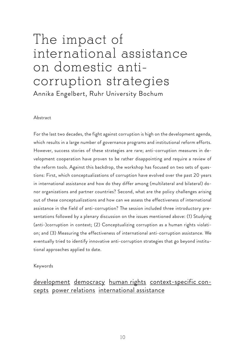## The impact of international assistance on domestic anticorruption strategies Annika Engelbert, Ruhr University Bochum

#### Abstract

For the last two decades, the fight against corruption is high on the development agenda, which results in a large number of governance programs and institutional reform efforts. However, success stories of these strategies are rare; anti-corruption measures in development cooperation have proven to be rather disappointing and require a review of the reform tools. Against this backdrop, the workshop has focused on two sets of questions: First, which conceptualizations of corruption have evolved over the past 20 years in international assistance and how do they differ among (multilateral and bilateral) donor organizations and partner countries? Second, what are the policy challenges arising out of these conceptualizations and how can we assess the effectiveness of international assistance in the field of anti-corruption? The session included three introductory presentations followed by a plenary discussion on the issues mentioned above: (1) Studying (anti-)corruption in context; (2) Conceptualizing corruption as a human rights violation; and (3) Measuring the effectiveness of international anti-corruption assistance. We eventually tried to identify innovative anti-corruption strategies that go beyond institutional approaches applied to date.

#### Keywords

## development democracy human rights context-specific concepts power relations international assistance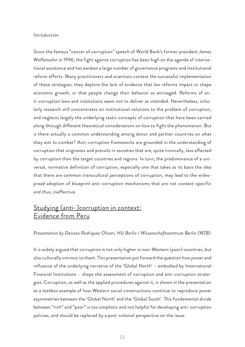#### Introduction

Since the famous "cancer of corruption" speech of World Bank's former president James Wolfensohn in 1996, the fight against corruption has been high on the agenda of international assistance and has awoken a large number of governance programs and institutional reform efforts. Many practitioners and scientists contest the successful implementation of these strategies; they deplore the lack of evidence that law reforms impact or shape economic growth, or that people change their behavior as envisaged. Reforms of anti-corruption laws and institutions seem not to deliver as intended. Nevertheless, scholarly research still concentrates on institutional solutions to the problem of corruption, and neglects largely the underlying static concepts of corruption that have been carried along through different theoretical considerations on how to fight the phenomenon. But is there actually a common understanding among donor and partner countries on what they aim to combat? Anti-corruption frameworks are grounded in the understanding of corruption that originates and prevails in societies that are, quite ironically, less affected by corruption than the target countries and regions. In turn, the predominance of a universal, normative definition of corruption, especially one that takes as its basis the idea that there are common transcultural perceptions of corruption, may lead to the widespread adoption of blueprint anti-corruption mechanisms that are not context-specific and thus, ineffective.

## Studying (anti-)corruption in context: Evidence from Peru

#### *Presentation by Denisse Rodriguez Olivari, HU Berlin / Wissenschaftszentrum Berlin (WZB)*

It is widely argued that corruption is not only higher in non-Western (poor) countries, but also culturally intrinsic to them. This presentation put forward the question how power and influence of the underlying narrative of the 'Global North' – embodied by International Financial Institutions – shape the assessment of corruption and anti-corruption strategies. Corruption, as well as the applied procedures against it, is shown in the presentation as a textbox example of how Western social constructions continue to reproduce power asymmetries between the 'Global North' and the 'Global South'. This fundamental divide between "rich" and "poor" is too simplistic and not helpful for developing anti-corruption policies, and should be replaced by a post-colonial perspective on the issue.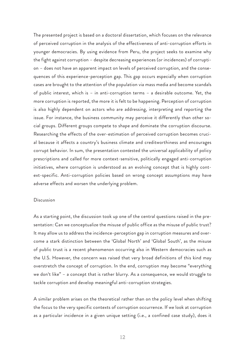The presented project is based on a doctoral dissertation, which focuses on the relevance of perceived corruption in the analysis of the effectiveness of anti-corruption efforts in younger democracies. By using evidence from Peru, the project seeks to examine why the fight against corruption – despite decreasing experiences (or incidences) of corruption – does not have an apparent impact on levels of perceived corruption, and the consequences of this experience-perception gap. This gap occurs especially when corruption cases are brought to the attention of the population via mass media and become scandals of public interest, which is – in anti-corruption terms – a desirable outcome. Yet, the more corruption is reported, the more it is felt to be happening. Perception of corruption is also highly dependent on actors who are addressing, interpreting and reporting the issue. For instance, the business community may perceive it differently than other social groups. Different groups compete to shape and dominate the corruption discourse. Researching the effects of the over-estimation of perceived corruption becomes crucial because it affects a country's business climate and creditworthiness and encourages corrupt behavior. In sum, the presentation contested the universal applicability of policy prescriptions and called for more context-sensitive, politically engaged anti-corruption initiatives, where corruption is understood as an evolving concept that is highly context-specific. Anti-corruption policies based on wrong concept assumptions may have adverse effects and worsen the underlying problem.

#### **Discussion**

As a starting point, the discussion took up one of the central questions raised in the presentation: Can we conceptualize the misuse of public office as the misuse of public trust? It may allow us to address the incidence-perception gap in corruption measures and overcome a stark distinction between the 'Global North' and 'Global South', as the misuse of public trust is a recent phenomenon occurring also in Western democracies such as the U.S. However, the concern was raised that very broad definitions of this kind may overstretch the concept of corruption. In the end, corruption may become "everything we don't like" – a concept that is rather blurry. As a consequence, we would struggle to tackle corruption and develop meaningful anti-corruption strategies.

A similar problem arises on the theoretical rather than on the policy level when shifting the focus to the very specific contexts of corruption occurrence. If we look at corruption as a particular incidence in a given unique setting (i.e., a confined case study), does it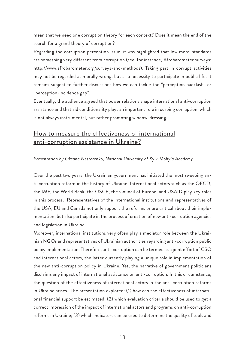mean that we need one corruption theory for each context? Does it mean the end of the search for a grand theory of corruption?

Regarding the corruption perception issue, it was highlighted that low moral standards are something very different from corruption (see, for instance, Afrobarometer surveys: http://www.afrobarometer.org/surveys-and-methods). Taking part in corrupt activities may not be regarded as morally wrong, but as a necessity to participate in public life. It remains subject to further discussions how we can tackle the "perception backlash" or "perception-incidence gap".

Eventually, the audience agreed that power relations shape international anti-corruption assistance and that aid conditionality plays an important role in curbing corruption, which is not always instrumental, but rather promoting window-dressing.

## How to measure the effectiveness of international anti-corruption assistance in Ukraine?

#### *Presentation by Oksana Nesterenko, National University of Kyiv-Mohyla Academy*

Over the past two years, the Ukrainian government has initiated the most sweeping anti-corruption reform in the history of Ukraine. International actors such as the OECD, the IMF, the World Bank, the OSCE, the Council of Europe, and USAID play key roles in this process. Representatives of the international institutions and representatives of the USA, EU and Canada not only support the reforms or are critical about their implementation, but also participate in the process of creation of new anti-corruption agencies and legislation in Ukraine.

Moreover, international institutions very often play a mediator role between the Ukrainian NGOs and representatives of Ukrainian authorities regarding anti-corruption public policy implementation. Therefore, anti-corruption can be termed as a joint effort of CSO and international actors, the latter currently playing a unique role in implementation of the new anti-corruption policy in Ukraine. Yet, the narrative of government politicians disclaims any impact of international assistance on anti-corruption. In this circumstance, the question of the effectiveness of international actors in the anti-corruption reforms in Ukraine arises. The presentation explored: (1) how can the effectiveness of international financial support be estimated; (2) which evaluation criteria should be used to get a correct impression of the impact of international actors and programs on anti-corruption reforms in Ukraine; (3) which indicators can be used to determine the quality of tools and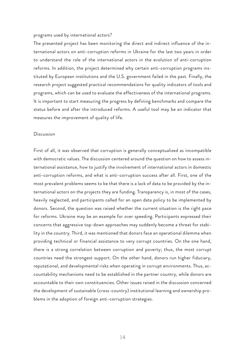#### programs used by international actors?

The presented project has been monitoring the direct and indirect influence of the international actors on anti-corruption reforms in Ukraine for the last two years in order to understand the role of the international actors in the evolution of anti-corruption reforms. In addition, the project determined why certain anti-corruption programs instituted by European institutions and the U.S. government failed in the past. Finally, the research project suggested practical recommendations for quality indicators of tools and programs, which can be used to evaluate the effectiveness of the international programs. It is important to start measuring the progress by defining benchmarks and compare the status before and after the introduced reforms. A useful tool may be an indicator that measures the improvement of quality of life.

#### Discussion

First of all, it was observed that corruption is generally conceptualized as incompatible with democratic values. The discussion centered around the question on how to assess international assistance, how to justify the involvement of international actors in domestic anti-corruption reforms, and what is anti-corruption success after all. First, one of the most prevalent problems seems to be that there is a lack of data to be provided by the international actors on the projects they are funding. Transparency is, in most of the cases, heavily neglected, and participants called for an open data policy to be implemented by donors. Second, the question was raised whether the current situation is the right pace for reforms. Ukraine may be an example for over speeding. Participants expressed their concerns that aggressive top-down approaches may suddenly become a threat for stability in the country. Third, it was mentioned that donors face an operational dilemma when providing technical or financial assistance to very corrupt countries. On the one hand, there is a strong correlation between corruption and poverty; thus, the most corrupt countries need the strongest support. On the other hand, donors run higher fiduciary, reputational, and developmental risks when operating in corrupt environments. Thus, accountability mechanisms need to be established in the partner country, while donors are accountable to their own constituencies. Other issues raised in the discussion concerned the development of sustainable (cross-country) institutional learning and ownership problems in the adoption of foreign anti-corruption strategies.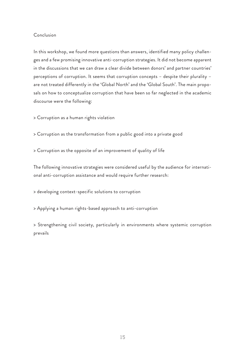#### Conclusion

In this workshop, we found more questions than answers, identified many policy challenges and a few promising innovative anti-corruption strategies. It did not become apparent in the discussions that we can draw a clear divide between donors' and partner countries' perceptions of corruption. It seems that corruption concepts – despite their plurality – are not treated differently in the 'Global North' and the 'Global South'. The main proposals on how to conceptualize corruption that have been so far neglected in the academic discourse were the following:

> Corruption as a human rights violation

> Corruption as the transformation from a public good into a private good

> Corruption as the opposite of an improvement of quality of life

The following innovative strategies were considered useful by the audience for international anti-corruption assistance and would require further research:

> developing context-specific solutions to corruption

> Applying a human rights-based approach to anti-corruption

> Strengthening civil society, particularly in environments where systemic corruption prevails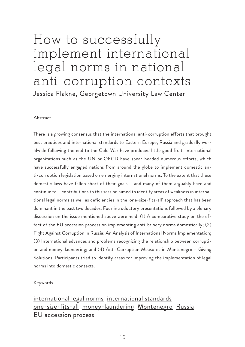## How to successfully implement international legal norms in national anti-corruption contexts Jessica Flakne, Georgetown University Law Center

#### Abstract

There is a growing consensus that the international anti-corruption efforts that brought best practices and international standards to Eastern Europe, Russia and gradually worldwide following the end to the Cold War have produced little good fruit. International organizations such as the UN or OECD have spear-headed numerous efforts, which have successfully engaged nations from around the globe to implement domestic anti-corruption legislation based on emerging international norms. To the extent that these domestic laws have fallen short of their goals – and many of them arguably have and continue to – contributions to this session aimed to identify areas of weakness in international legal norms as well as deficiencies in the 'one-size-fits-all' approach that has been dominant in the past two decades. Four introductory presentations followed by a plenary discussion on the issue mentioned above were held: (1) A comparative study on the effect of the EU accession process on implementing anti-bribery norms domestically; (2) Fight Against Corruption in Russia: An Analysis of International Norms Implementation; (3) International advances and problems recognizing the relationship between corruption and money-laundering; and (4) Anti-Corruption Measures in Montenegro – Giving Solutions. Participants tried to identify areas for improving the implementation of legal norms into domestic contexts.

#### Keywords

## international legal norms international standards one-size-fits-all money-laundering Montenegro Russia EU accession process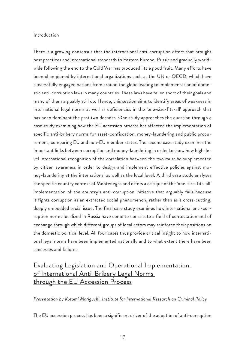#### Introduction

There is a growing consensus that the international anti-corruption effort that brought best practices and international standards to Eastern Europe, Russia and gradually worldwide following the end to the Cold War has produced little good fruit. Many efforts have been championed by international organizations such as the UN or OECD, which have successfully engaged nations from around the globe leading to implementation of domestic anti-corruption laws in many countries. These laws have fallen short of their goals and many of them arguably still do. Hence, this session aims to identify areas of weakness in international legal norms as well as deficiencies in the 'one-size-fits-all' approach that has been dominant the past two decades. One study approaches the question through a case study examining how the EU accession process has affected the implementation of specific anti-bribery norms for asset-confiscation, money-laundering and public procurement, comparing EU and non-EU member states. The second case study examines the important links between corruption and money-laundering in order to show how high-level international recognition of the correlation between the two must be supplemented by citizen awareness in order to design and implement effective policies against money-laundering at the international as well as the local level. A third case study analyses the specific country context of Montenegro and offers a critique of the 'one-size-fits-all' implementation of the country's anti-corruption initiative that arguably fails because it fights corruption as an extracted social phenomenon, rather than as a cross-cutting, deeply embedded social issue. The final case study examines how international anti-corruption norms localized in Russia have come to constitute a field of contestation and of exchange through which different groups of local actors may reinforce their positions on the domestic political level. All four cases thus provide critical insight to how international legal norms have been implemented nationally and to what extent there have been successes and failures.

## Evaluating Legislation and Operational Implementation of International Anti-Bribery Legal Norms through the EU Accession Process

#### *Presentation by Kotomi Moriguchi, Institute for International Research on Criminal Policy*

The EU accession process has been a significant driver of the adoption of anti-corruption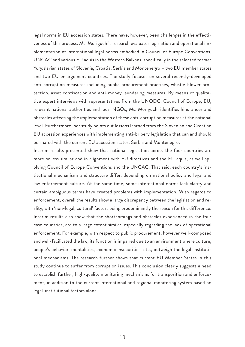legal norms in EU accession states. There have, however, been challenges in the effectiveness of this process. Ms. Moriguchi's research evaluates legislation and operational implementation of international legal norms embodied in Council of Europe Conventions, UNCAC and various EU aquis in the Western Balkans, specifically in the selected former Yugoslavian states of Slovenia, Croatia, Serbia and Montenegro – two EU member states and two EU enlargement countries. The study focuses on several recently-developed anti-corruption measures including public procurement practices, whistle-blower protection, asset confiscation and anti-money laundering measures. By means of qualitative expert interviews with representatives from the UNODC, Council of Europe, EU, relevant national authorities and local NGOs, Ms. Moriguchi identifies hindrances and obstacles affecting the implementation of these anti-corruption measures at the national level. Furthermore, her study points out lessons learned from the Slovenian and Croatian EU accession experiences with implementing anti-bribery legislation that can and should be shared with the current EU accession states, Serbia and Montenegro.

Interim results presented show that national legislation across the four countries are more or less similar and in alignment with EU directives and the EU aquis, as well applying Council of Europe Conventions and the UNCAC. That said, each country's institutional mechanisms and structure differ, depending on national policy and legal and law enforcement culture. At the same time, some international norms lack clarity and certain ambiguous terms have created problems with implementation. With regards to enforcement, overall the results show a large discrepancy between the legislation and reality, with 'non-legal, cultural' factors being predominantly the reason for this difference. Interim results also show that the shortcomings and obstacles experienced in the four case countries, are to a large extent similar, especially regarding the lack of operational enforcement. For example, with respect to public procurement, however well-composed and well-facilitated the law, its function is impaired due to an environment where culture, people's behavior, mentalities, economic insecurities, etc., outweigh the legal-institutional mechanisms. The research further shows that current EU Member States in this study continue to suffer from corruption issues. This conclusion clearly suggests a need to establish further, high-quality monitoring mechanisms for transposition and enforcement, in addition to the current international and regional monitoring system based on legal-institutional factors alone.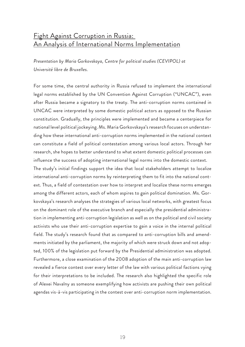## Fight Against Corruption in Russia: An Analysis of International Norms Implementation

*Presentation by Maria Gorkovskaya, Centre for political studies (CEVIPOL) at Université libre de Bruxelles.*

For some time, the central authority in Russia refused to implement the international legal norms established by the UN Convention Against Corruption ("UNCAC"), even after Russia became a signatory to the treaty. The anti-corruption norms contained in UNCAC were interpreted by some domestic political actors as opposed to the Russian constitution. Gradually, the principles were implemented and became a centerpiece for national level political jockeying. Ms. Maria Gorkovskaya's research focuses on understanding how these international anti-corruption norms implemented in the national context can constitute a field of political contestation among various local actors. Through her research, she hopes to better understand to what extent domestic political processes can influence the success of adopting international legal norms into the domestic context.

The study's initial findings support the idea that local stakeholders attempt to localize international anti-corruption norms by reinterpreting them to fit into the national context. Thus, a field of contestation over how to interpret and localize these norms emerges among the different actors, each of whom aspires to gain political domination. Ms. Gorkovskaya's research analyses the strategies of various local networks, with greatest focus on the dominant role of the executive branch and especially the presidential administration in implementing anti-corruption legislation as well as on the political and civil society activists who use their anti-corruption expertise to gain a voice in the internal political field. The study's research found that as compared to anti-corruption bills and amendments initiated by the parliament, the majority of which were struck down and not adopted, 100% of the legislation put forward by the Presidential administration was adopted. Furthermore, a close examination of the 2008 adoption of the main anti-corruption law revealed a fierce contest over every letter of the law with various political factions vying for their interpretations to be included. The research also highlighted the specific role of Alexei Navalny as someone exemplifying how activists are pushing their own political agendas vis-à-vis participating in the contest over anti-corruption norm implementation.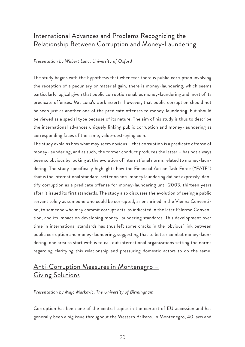## International Advances and Problems Recognizing the Relationship Between Corruption and Money-Laundering

#### *Presentation by Wilbert Luna, University of Oxford*

The study begins with the hypothesis that whenever there is public corruption involving the reception of a pecuniary or material gain, there is money-laundering, which seems particularly logical given that public corruption enables money-laundering and most of its predicate offenses. Mr. Luna's work asserts, however, that public corruption should not be seen just as another one of the predicate offenses to money-laundering, but should be viewed as a special type because of its nature. The aim of his study is thus to describe the international advances uniquely linking public corruption and money-laundering as corresponding faces of the same, value-destroying coin.

The study explains how what may seem obvious – that corruption is a predicate offense of money-laundering, and as such, the former conduct produces the latter – has not always been so obvious by looking at the evolution of international norms related to money-laundering. The study specifically highlights how the Financial Action Task Force ("FATF") that is the international standard-setter on anti-money laundering did not expressly identify corruption as a predicate offense for money-laundering until 2003, thirteen years after it issued its first standards. The study also discusses the evolution of seeing a public servant solely as someone who could be corrupted, as enshrined in the Vienna Convention, to someone who may commit corrupt acts, as indicated in the later Palermo Convention, and its impact on developing money-laundering standards. This development over time in international standards has thus left some cracks in the 'obvious' link between public corruption and money-laundering, suggesting that to better combat money-laundering, one area to start with is to call out international organizations setting the norms regarding clarifying this relationship and pressuring domestic actors to do the same.

## Anti-Corruption Measures in Montenegro – **Giving Solutions**

#### *Presentation by Maja Markovic, The University of Birmingham*

Corruption has been one of the central topics in the context of EU accession and has generally been a big issue throughout the Western Balkans. In Montenegro, 40 laws and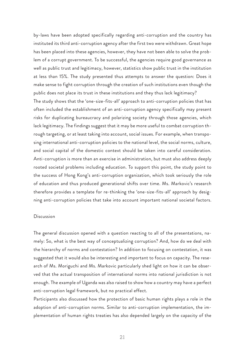by-laws have been adopted specifically regarding anti-corruption and the country has instituted its third anti-corruption agency after the first two were withdrawn. Great hope has been placed into these agencies, however, they have not been able to solve the problem of a corrupt government. To be successful, the agencies require good governance as well as public trust and legitimacy, however, statistics show public trust in the institution at less than 15%. The study presented thus attempts to answer the question: Does it make sense to fight corruption through the creation of such institutions even though the public does not place its trust in these institutions and they thus lack legitimacy?

The study shows that the 'one-size-fits-all' approach to anti-corruption policies that has often included the establishment of an anti-corruption agency specifically may present risks for duplicating bureaucracy and polarizing society through those agencies, which lack legitimacy. The findings suggest that it may be more useful to combat corruption through targeting, or at least taking into account, social issues. For example, when transposing international anti-corruption policies to the national level, the social norms, culture, and social capital of the domestic context should be taken into careful consideration. Anti-corruption is more than an exercise in administration, but must also address deeply rooted societal problems including education. To support this point, the study point to the success of Hong Kong's anti-corruption organization, which took seriously the role of education and thus produced generational shifts over time. Ms. Markovic's research therefore provides a template for re-thinking the 'one-size-fits-all' approach by designing anti-corruption policies that take into account important national societal factors.

#### **Discussion**

The general discussion opened with a question reacting to all of the presentations, namely: So, what is the best way of conceptualizing corruption? And, how do we deal with the hierarchy of norms and contestation? In addition to focusing on contestation, it was suggested that it would also be interesting and important to focus on capacity. The research of Ms. Moriguchi and Ms. Markovic particularly shed light on how it can be observed that the actual transposition of international norms into national jurisdiction is not enough. The example of Uganda was also raised to show how a country may have a perfect anti-corruption legal framework, but no practical effect.

Participants also discussed how the protection of basic human rights plays a role in the adoption of anti-corruption norms. Similar to anti-corruption implementation, the implementation of human rights treaties has also depended largely on the capacity of the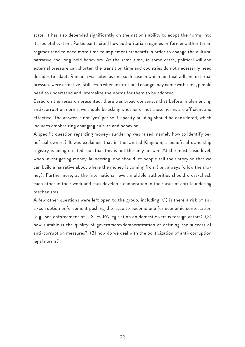state. It has also depended significantly on the nation's ability to adopt the norms into its societal system. Participants cited how authoritarian regimes or former authoritarian regimes tend to need more time to implement standards in order to change the cultural narrative and long-held behaviors. At the same time, in some cases, political will and external pressure can shorten the transition time and countries do not necessarily need decades to adapt. Romania was cited as one such case in which political will and external pressure were effective. Still, even when institutional change may come with time, people need to understand and internalize the norms for them to be adopted.

Based on the research presented, there was broad consensus that before implementing anti-corruption norms, we should be asking whether or not these norms are efficient and effective. The answer is not 'yes' per se. Capacity building should be considered, which includes emphasizing changing culture and behavior.

A specific question regarding money-laundering was raised, namely how to identify beneficial owners? It was explained that in the United Kingdom, a beneficial ownership registry is being created, but that this is not the only answer. At the most basic level, when investigating money-laundering, one should let people tell their story so that we can build a narrative about where the money is coming from (i.e., always follow the money). Furthermore, at the international level, multiple authorities should cross-check each other in their work and thus develop a cooperation in their uses of anti-laundering mechanisms.

A few other questions were left open to the group, including: (1) is there a risk of anti-corruption enforcement pushing the issue to become one for economic contestation (e.g., see enforcement of U.S. FCPA legislation on domestic versus foreign actors); (2) how suitable is the quality of government/democratization at defining the success of anti-corruption measures?; (3) how do we deal with the politicization of anti-corruption legal norms?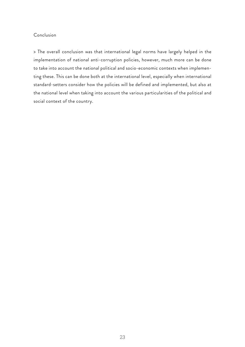#### Conclusion

> The overall conclusion was that international legal norms have largely helped in the implementation of national anti-corruption policies, however, much more can be done to take into account the national political and socio-economic contexts when implementing these. This can be done both at the international level, especially when international standard-setters consider how the policies will be defined and implemented, but also at the national level when taking into account the various particularities of the political and social context of the country.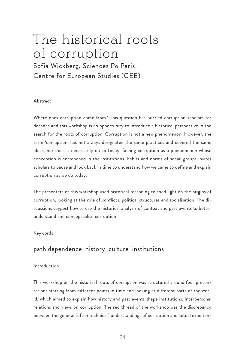## The historical roots of corruption Sofia Wickberg, Sciences Po Paris, Centre for European Studies (CEE)

#### Abstract

Where does corruption come from? This question has puzzled corruption scholars for decades and this workshop is an opportunity to introduce a historical perspective in the search for the roots of corruption. Corruption is not a new phenomenon. However, the term 'corruption' has not always designated the same practices and covered the same ideas, nor does it necessarily do so today. Seeing corruption as a phenomenon whose conception is entrenched in the institutions, habits and norms of social groups invites scholars to pause and look back in time to understand how we came to define and explain corruption as we do today.

The presenters of this workshop used historical reasoning to shed light on the origins of corruption, looking at the role of conflicts, political structures and socialisation. The discussions suggest how to use the historical analysis of context and past events to better understand and conceptualise corruption.

Keywords

### path dependence history culture institutions

#### Introduction

This workshop on the historical roots of corruption was structured around four presentations starting from different points in time and looking at different parts of the world, which aimed to explain how history and past events shape institutions, interpersonal relations and views on corruption. The red thread of the workshop was the discrepancy between the general (often technical) understandings of corruption and actual experien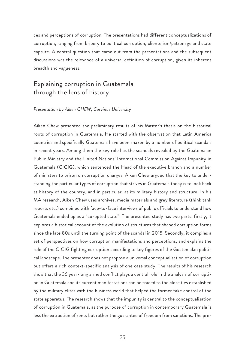ces and perceptions of corruption. The presentations had different conceptualizations of corruption, ranging from bribery to political corruption, clientelism/patronage and state capture. A central question that came out from the presentations and the subsequent discussions was the relevance of a universal definition of corruption, given its inherent breadth and vagueness.

## Explaining corruption in Guatemala through the lens of history

#### *Presentation by Aiken CHEW, Corvinus University*

Aiken Chew presented the preliminary results of his Master's thesis on the historical roots of corruption in Guatemala. He started with the observation that Latin America countries and specifically Guatemala have been shaken by a number of political scandals in recent years. Among them the key role has the scandals revealed by the Guatemalan Public Ministry and the United Nations' International Commission Against Impunity in Guatemala (CICIG), which sentenced the Head of the executive branch and a number of ministers to prison on corruption charges. Aiken Chew argued that the key to understanding the particular types of corruption that strives in Guatemala today is to look back at history of the country, and in particular, at its military history and structure. In his MA research, Aiken Chew uses archives, media materials and grey literature (think tank reports etc.) combined with face-to-face interviews of public officials to understand how Guatemala ended up as a "co-opted state". The presented study has two parts: firstly, it explores a historical account of the evolution of structures that shaped corruption forms since the late 80s until the turning point of the scandal in 2015. Secondly, it compiles a set of perspectives on how corruption manifestations and perceptions, and explains the role of the CICIG fighting corruption according to key figures of the Guatemalan political landscape. The presenter does not propose a universal conceptualisation of corruption but offers a rich context-specific analysis of one case study. The results of his research show that the 36 year-long armed conflict plays a central role in the analysis of corruption in Guatemala and its current manifestations can be traced to the close ties established by the military elites with the business world that helped the former take control of the state apparatus. The research shows that the impunity is central to the conceptualisation of corruption in Guatemala, as the purpose of corruption in contemporary Guatemala is less the extraction of rents but rather the guarantee of freedom from sanctions. The pre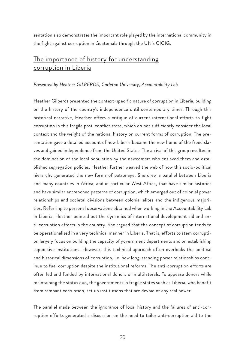sentation also demonstrates the important role played by the international community in the fight against corruption in Guatemala through the UN's CICIG.

## The importance of history for understanding corruption in Liberia

#### *Presented by Heather GILBERDS, Carleton University, Accountability Lab*

Heather Gilberds presented the context-specific nature of corruption in Liberia, building on the history of the country's independence until contemporary times. Through this historical narrative, Heather offers a critique of current international efforts to fight corruption in this fragile post-conflict state, which do not sufficiently consider the local context and the weight of the national history on current forms of corruption. The presentation gave a detailed account of how Liberia became the new home of the freed slaves and gained independence from the United States. The arrival of this group resulted in the domination of the local population by the newcomers who enslaved them and established segregation policies. Heather further weaved the web of how this socio-political hierarchy generated the new forms of patronage. She drew a parallel between Liberia and many countries in Africa, and in particular West Africa, that have similar histories and have similar entrenched patterns of corruption, which emerged out of colonial power relationships and societal divisions between colonial elites and the indigenous majorities. Referring to personal observations obtained when working in the Accountability Lab in Liberia, Heather pointed out the dynamics of international development aid and anti-corruption efforts in the country. She argued that the concept of corruption tends to be operationalised in a very technical manner in Liberia. That is, efforts to stem corruption largely focus on building the capacity of government departments and on establishing supportive institutions. However, this technical approach often overlooks the political and historical dimensions of corruption, i.e. how long-standing power relationships continue to fuel corruption despite the institutional reforms. The anti-corruption efforts are often led and funded by international donors or multilaterals. To appease donors while maintaining the status quo, the governments in fragile states such as Liberia, who benefit from rampant corruption, set up institutions that are devoid of any real power.

The parallel made between the ignorance of local history and the failures of anti-corruption efforts generated a discussion on the need to tailor anti-corruption aid to the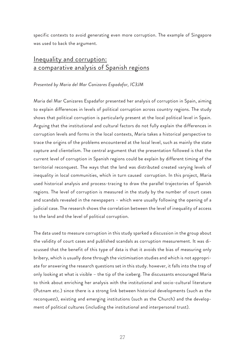specific contexts to avoid generating even more corruption. The example of Singapore was used to back the argument.

## Inequality and corruption: a comparative analysis of Spanish regions

#### *Presented by Maria del Mar Canizares Espadafor, IC3JM*

Maria del Mar Canizares Espadafor presented her analysis of corruption in Spain, aiming to explain differences in levels of political corruption across country regions. The study shows that political corruption is particularly present at the local political level in Spain. Arguing that the institutional and cultural factors do not fully explain the differences in corruption levels and forms in the local contexts, Maria takes a historical perspective to trace the origins of the problems encountered at the local level, such as mainly the state capture and clientelism. The central argument that the presentation followed is that the current level of corruption in Spanish regions could be explain by different timing of the territorial reconquest. The ways that the land was distributed created varying levels of inequality in local communities, which in turn caused corruption. In this project, Maria used historical analysis and process-tracing to draw the parallel trajectories of Spanish regions. The level of corruption is measured in the study by the number of court cases and scandals revealed in the newspapers – which were usually following the opening of a judicial case. The research shows the correlation between the level of inequality of access to the land and the level of political corruption.

The data used to measure corruption in this study sparked a discussion in the group about the validity of court cases and published scandals as corruption measurement. It was discussed that the benefit of this type of data is that it avoids the bias of measuring only bribery, which is usually done through the victimisation studies and which is not appropriate for answering the research questions set in this study. however, it falls into the trap of only looking at what is visible – the tip of the iceberg. The discussants encouraged Maria to think about enriching her analysis with the institutional and socio-cultural literature (Putnam etc.) since there is a strong link between historical developments (such as the reconquest), existing and emerging institutions (such as the Church) and the development of political cultures (including the institutional and interpersonal trust).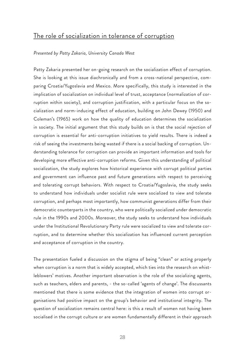### The role of socialization in tolerance of corruption

#### *Presented by Patty Zakaria, University Canada West*

Patty Zakaria presented her on-going research on the socialization effect of corruption. She is looking at this issue diachronically and from a cross-national perspective, comparing Croatia/Yugoslavia and Mexico. More specifically, this study is interested in the implication of socialization on individual level of trust, acceptance (normalization of corruption within society), and corruption justification, with a particular focus on the socialization and norm-inducing effect of education, building on John Dewey (1950) and Coleman's (1965) work on how the quality of education determines the socialization in society. The initial argument that this study builds on is that the social rejection of corruption is essential for anti-corruption initiatives to yield results. There is indeed a risk of seeing the investments being wasted if there is a social backing of corruption. Understanding tolerance for corruption can provide an important information and tools for developing more effective anti-corruption reforms. Given this understanding of political socialization, the study explores how historical experience with corrupt political parties and government can influence past and future generations with respect to perceiving and tolerating corrupt behaviors. With respect to Croatia/Yugoslavia, the study seeks to understand how individuals under socialist rule were socialized to view and tolerate corruption, and perhaps most importantly, how communist generations differ from their democratic counterparts in the country, who were politically socialized under democratic rule in the 1990s and 2000s. Moreover, the study seeks to understand how individuals under the Institutional Revolutionary Party rule were socialized to view and tolerate corruption, and to determine whether this socialization has influenced current perception and acceptance of corruption in the country.

The presentation fueled a discussion on the stigma of being "clean" or acting properly when corruption is a norm that is widely accepted, which ties into the research on whistleblowers' motives. Another important observation is the role of the socializing agents, such as teachers, elders and parents, - the so-called 'agents of change'. The discussants mentioned that there is some evidence that the integration of women into corrupt organisations had positive impact on the group's behavior and institutional integrity. The question of socialization remains central here: is this a result of women not having been socialised in the corrupt culture or are women fundamentally different in their approach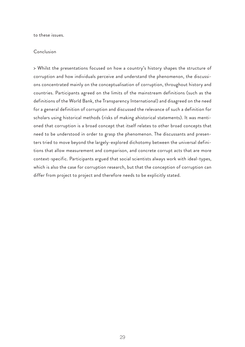to these issues.

#### Conclusion

> Whilst the presentations focused on how a country's history shapes the structure of corruption and how individuals perceive and understand the phenomenon, the discussions concentrated mainly on the conceptualisation of corruption, throughout history and countries. Participants agreed on the limits of the mainstream definitions (such as the definitions of the World Bank, the Transparency International) and disagreed on the need for a general definition of corruption and discussed the relevance of such a definition for scholars using historical methods (risks of making ahistorical statements). It was mentioned that corruption is a broad concept that itself relates to other broad concepts that need to be understood in order to grasp the phenomenon. The discussants and presenters tried to move beyond the largely-explored dichotomy between the universal definitions that allow measurement and comparison, and concrete corrupt acts that are more context-specific. Participants argued that social scientists always work with ideal-types, which is also the case for corruption research, but that the conception of corruption can differ from project to project and therefore needs to be explicitly stated.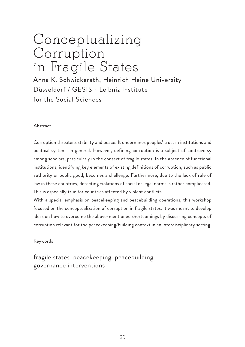## Conceptualizing Corruption in Fragile States

Anna K. Schwickerath, Heinrich Heine University Düsseldorf / GESIS - Leibniz Institute for the Social Sciences

#### Abstract

Corruption threatens stability and peace. It undermines peoples' trust in institutions and political systems in general. However, defining corruption is a subject of controversy among scholars, particularly in the context of fragile states. In the absence of functional institutions, identifying key elements of existing definitions of corruption, such as public authority or public good, becomes a challenge. Furthermore, due to the lack of rule of law in these countries, detecting violations of social or legal norms is rather complicated. This is especially true for countries affected by violent conflicts.

With a special emphasis on peacekeeping and peacebuilding operations, this workshop focused on the conceptualization of corruption in fragile states. It was meant to develop ideas on how to overcome the above-mentioned shortcomings by discussing concepts of corruption relevant for the peacekeeping/building context in an interdisciplinary setting.

#### Keywords

## fragile states peacekeeping peacebuilding governance interventions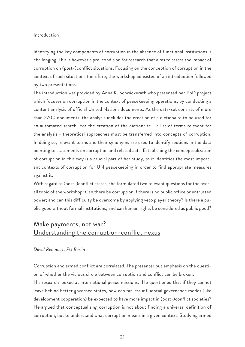#### Introduction

Identifying the key components of corruption in the absence of functional institutions is challenging. This is however a pre-condition for research that aims to assess the impact of corruption on (post-)conflict situations. Focusing on the conception of corruption in the context of such situations therefore, the workshop consisted of an introduction followed by two presentations.

The introduction was provided by Anna K. Schwickerath who presented her PhD project which focuses on corruption in the context of peacekeeping operations, by conducting a content analysis of official United Nations documents. As the data-set consists of more than 2700 documents, the analysis includes the creation of a dictionaire to be used for an automated search. For the creation of the dictionaire - a list of terms relevant for the analysis - theoretical approaches must be transferred into concepts of corruption. In doing so, relevant terms and their synonyms are used to identify sections in the data pointing to statements on corruption and related acts. Establishing the conceptualization of corruption in this way is a crucial part of her study, as it identifies the most important contexts of corruption for UN peacekeeping in order to find appropriate measures against it.

With regard to (post-)conflict states, she formulated two relevant questions for the overall topic of the workshop: Can there be corruption if there is no public office or entrusted power; and can this difficulty be overcome by applying veto player theory? Is there a public good without formal institutions; and can human rights be considered as public good?

## Make payments, not war? Understanding the corruption-conflict nexus

#### *David Remmert, FU Berlin*

Corruption and armed conflict are correlated. The presenter put emphasis on the question of whether the vicious circle between corruption and conflict can be broken.

His research looked at international peace missions. He questioned that if they cannot leave behind better governed states, how can far less influential governance modes (like development cooperation) be expected to have more impact in (post-)conflict societies? He argued that conceptualizing corruption is not about finding a universal definition of corruption, but to understand what corruption means in a given context. Studying armed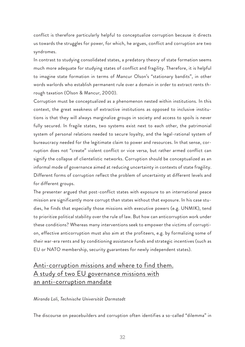conflict is therefore particularly helpful to conceptualize corruption because it directs us towards the struggles for power, for which, he argues, conflict and corruption are two syndromes.

In contrast to studying consolidated states, a predatory theory of state formation seems much more adequate for studying states of conflict and fragility. Therefore, it is helpful to imagine state formation in terms of Mancur Olson's "stationary bandits", in other words warlords who establish permanent rule over a domain in order to extract rents through taxation (Olson & Mancur, 2000).

Corruption must be conceptualized as a phenomenon nested within institutions. In this context, the great weakness of extractive institutions as opposed to inclusive institutions is that they will always marginalize groups in society and access to spoils is never fully secured. In fragile states, two systems exist next to each other, the patrimonial system of personal relations needed to secure loyalty, and the legal-rational system of bureaucracy needed for the legitimate claim to power and resources. In that sense, corruption does not "create" violent conflict or vice versa, but rather armed conflict can signify the collapse of clientelistic networks. Corruption should be conceptualized as an informal mode of governance aimed at reducing uncertainty in contexts of state fragility. Different forms of corruption reflect the problem of uncertainty at different levels and for different groups.

The presenter argued that post-conflict states with exposure to an international peace mission are significantly more corrupt than states without that exposure. In his case studies, he finds that especially those missions with executive powers (e.g. UNMIK), tend to prioritize political stability over the rule of law. But how can anticorruption work under these conditions? Whereas many interventions seek to empower the victims of corruption, effective anticorruption must also aim at the profiteers, e.g. by formalizing some of their war-era rents and by conditioning assistance funds and strategic incentives (such as EU or NATO membership, security guarantees for newly independent states).

## Anti-corruption missions and where to find them. A study of two EU governance missions with an anti-corruption mandate

#### *Miranda Loli, Technische Universität Darmstadt*

The discourse on peacebuilders and corruption often identifies a so-called "dilemma" in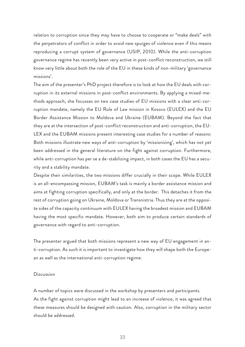relation to corruption since they may have to choose to cooperate or "make deals" with the perpetrators of conflict in order to avoid new spurges of violence even if this means reproducing a corrupt system of governance (USIP, 2010). While the anti-corruption governance regime has recently been very active in post-conflict reconstruction, we still know very little about both the role of the EU in these kinds of non-military 'governance missions'.

The aim of the presenter's PhD project therefore is to look at how the EU deals with corruption in its external missions in post-conflict environments. By applying a mixed-methods approach, she focusses on two case studies of EU missions with a clear anti-corruption mandate, namely the EU Rule of Law mission in Kosovo (EULEX) and the EU Border Assistance Mission to Moldova and Ukraine (EUBAM). Beyond the fact that they are at the intersection of post-conflict reconstruction and anti-corruption, the EU-LEX and the EUBAM missions present interesting case studies for a number of reasons: Both missions illustrate new ways of anti-corruption by 'missionizing', which has not yet been addressed in the general literature on the fight against corruption. Furthermore, while anti-corruption has per se a de-stabilizing impact, in both cases the EU has a security and a stability mandate.

Despite their similarities, the two missions differ crucially in their scope. While EULEX is an all-encompassing mission, EUBAM's task is mainly a border assistance mission and aims at fighting corruption specifically, and only at the border. This detaches it from the rest of corruption going on Ukraine, Moldova or Transnistria. Thus they are at the opposite sides of the capacity continuum with EULEX having the broadest mission and EUBAM having the most specific mandate. However, both aim to produce certain standards of governance with regard to anti-corruption.

The presenter argued that both missions represent a new way of EU engagement in anti-corruption. As such it is important to investigate how they will shape both the European as well as the international anti-corruption regime.

#### Discussion

A number of topics were discussed in the workshop by presenters and participants. As the fight against corruption might lead to an increase of violence, it was agreed that these measures should be designed with caution. Also, corruption in the military sector should be addressed.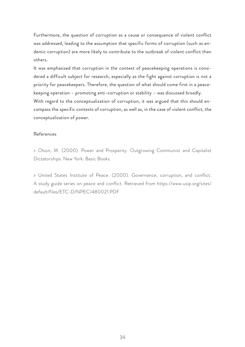Furthermore, the question of corruption as a cause or consequence of violent conflict was addressed, leading to the assumption that specific forms of corruption (such as endemic corruption) are more likely to contribute to the outbreak of violent conflict than others.

It was emphasized that corruption in the context of peacekeeping operations is considered a difficult subject for research, especially as the fight against corruption is not a priority for peacekeepers. Therefore, the question of what should come first in a peacekeeping operation – promoting anti-corruption or stability – was discussed broadly. With regard to the conceptualization of corruption, it was argued that this should encompass the specific contexts of corruption, as well as, in the case of violent conflict, the conceptualization of power.

#### References

> Olson, M. (2000). Power and Prosperity. Outgrowing Communist and Capitalist Dictatorships. New York: Basic Books.

> United States Institute of Peace. (2000). Governance, corruption, and conflict. A study guide series on peace and conflict. Retrieved from https://www.usip.org/sites/ default/files/ETC-D/NPEC/480021.PDF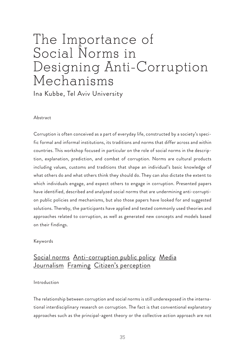## The Importance of Social Norms in Designing Anti-Corruption Mechanisms

Ina Kubbe, Tel Aviv University

#### Abstract

Corruption is often conceived as a part of everyday life, constructed by a society's specific formal and informal institutions, its traditions and norms that differ across and within countries. This workshop focused in particular on the role of social norms in the description, explanation, prediction, and combat of corruption. Norms are cultural products including values, customs and traditions that shape an individual's basic knowledge of what others do and what others think they should do. They can also dictate the extent to which individuals engage, and expect others to engage in corruption. Presented papers have identified, described and analyzed social norms that are undermining anti-corruption public policies and mechanisms, but also those papers have looked for and suggested solutions. Thereby, the participants have applied and tested commonly used theories and approaches related to corruption, as well as generated new concepts and models based on their findings.

#### Keywords

## Social norms Anti-corruption public policy Media Journalism Framing Citizen's perception

#### Introduction

The relationship between corruption and social norms is still underexposed in the international interdisciplinary research on corruption. The fact is that conventional explanatory approaches such as the principal-agent theory or the collective action approach are not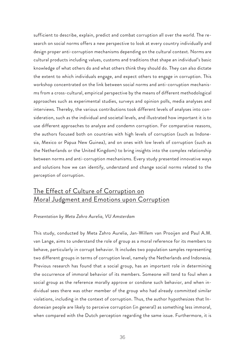sufficient to describe, explain, predict and combat corruption all over the world. The research on social norms offers a new perspective to look at every country individually and design proper anti-corruption mechanisms depending on the cultural context. Norms are cultural products including values, customs and traditions that shape an individual's basic knowledge of what others do and what others think they should do. They can also dictate the extent to which individuals engage, and expect others to engage in corruption. This workshop concentrated on the link between social norms and anti-corruption mechanisms from a cross-cultural, empirical perspective by the means of different methodological approaches such as experimental studies, surveys and opinion polls, media analyses and interviews. Thereby, the various contributions took different levels of analyses into consideration, such as the individual and societal levels, and illustrated how important it is to use different approaches to analyze and condemn corruption. For comparative reasons, the authors focused both on countries with high levels of corruption (such as Indonesia, Mexico or Papua New Guinea), and on ones with low levels of corruption (such as the Netherlands or the United Kingdom) to bring insights into the complex relationship between norms and anti-corruption mechanisms. Every study presented innovative ways and solutions how we can identify, understand and change social norms related to the perception of corruption.

## The Effect of Culture of Corruption on Moral Judgment and Emotions upon Corruption

#### *Presentation by Meta Zahro Aurelia, VU Amsterdam*

This study, conducted by Meta Zahro Aurelia, Jan-Willem van Prooijen and Paul A.M. van Lange, aims to understand the role of group as a moral reference for its members to behave, particularly in corrupt behavior. It includes two population samples representing two different groups in terms of corruption level, namely the Netherlands and Indonesia. Previous research has found that a social group, has an important role in determining the occurrence of immoral behavior of its members. Someone will tend to foul when a social group as the reference morally approve or condone such behavior, and when individual sees there was other member of the group who had already committed similar violations, including in the context of corruption. Thus, the author hypothesizes that Indonesian people are likely to perceive corruption (in general) as something less immoral, when compared with the Dutch perception regarding the same issue. Furthermore, it is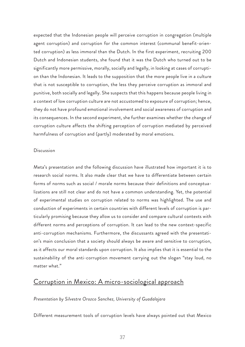expected that the Indonesian people will perceive corruption in congregation (multiple agent corruption) and corruption for the common interest (communal benefit-oriented corruption) as less immoral than the Dutch. In the first experiment, recruiting 200 Dutch and Indonesian students, she found that it was the Dutch who turned out to be significantly more permissive, morally, socially and legally, in looking at cases of corruption than the Indonesian. It leads to the supposition that the more people live in a culture that is not susceptible to corruption, the less they perceive corruption as immoral and punitive, both socially and legally. She suspects that this happens because people living in a context of low corruption culture are not accustomed to exposure of corruption; hence, they do not have profound emotional involvement and social awareness of corruption and its consequences. In the second experiment, she further examines whether the change of corruption culture affects the shifting perception of corruption mediated by perceived harmfulness of corruption and (partly) moderated by moral emotions.

#### Discussion

Meta's presentation and the following discussion have illustrated how important it is to research social norms. It also made clear that we have to differentiate between certain forms of norms such as social / morale norms because their definitions and conceptualizations are still not clear and do not have a common understanding. Yet, the potential of experimental studies on corruption related to norms was highlighted. The use and conduction of experiments in certain countries with different levels of corruption is particularly promising because they allow us to consider and compare cultural contexts with different norms and perceptions of corruption. It can lead to the new context-specific anti-corruption mechanisms. Furthermore, the discussants agreed with the presentation's main conclusion that a society should always be aware and sensitive to corruption, as it affects our moral standards upon corruption. It also implies that it is essential to the sustainability of the anti-corruption movement carrying out the slogan "stay loud, no matter what."

### Corruption in Mexico: A micro-sociological approach

#### *Presentation by Silvestre Orozco Sanchez, University of Guadalajara*

Different measurement tools of corruption levels have always pointed out that Mexico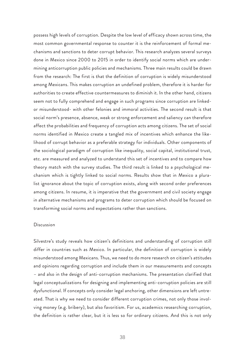possess high levels of corruption. Despite the low level of efficacy shown across time, the most common governmental response to counter it is the reinforcement of formal mechanisms and sanctions to deter corrupt behavior. This research analyzes several surveys done in Mexico since 2000 to 2015 in order to identify social norms which are undermining anticorruption public policies and mechanisms. Three main results could be drawn from the research: The first is that the definition of corruption is widely misunderstood among Mexicans. This makes corruption an undefined problem, therefore it is harder for authorities to create effective countermeasures to diminish it. In the other hand, citizens seem not to fully comprehend and engage in such programs since corruption are linkedor misunderstood- with other felonies and immoral activities. The second result is that social norm's presence, absence, weak or strong enforcement and saliency can therefore affect the probabilities and frequency of corruption acts among citizens. The set of social norms identified in Mexico create a tangled mix of incentives which enhance the likelihood of corrupt behavior as a preferable strategy for individuals. Other components of the sociological paradigm of corruption like inequality, social capital, institutional trust, etc. are measured and analyzed to understand this set of incentives and to compare how theory match with the survey studies. The third result is linked to a psychological mechanism which is tightly linked to social norms. Results show that in Mexico a pluralist ignorance about the topic of corruption exists, along with second order preferences among citizens. In resume, it is imperative that the government and civil society engage in alternative mechanisms and programs to deter corruption which should be focused on transforming social norms and expectations rather than sanctions.

#### Discussion

Silvestre's study reveals how citizen's definitions and understanding of corruption still differ in countries such as Mexico. In particular, the definition of corruption is widely misunderstood among Mexicans. Thus, we need to do more research on citizen's attitudes and opinions regarding corruption and include them in our measurements and concepts – and also in the design of anti-corruption mechanisms. The presentation clarified that legal conceptualizations for designing and implementing anti-corruption policies are still dysfunctional. If concepts only consider legal anchoring, other dimensions are left untreated. That is why we need to consider different corruption crimes, not only those involving money (e.g. bribery), but also favoritism. For us, academics researching corruption, the definition is rather clear, but it is less so for ordinary citizens. And this is not only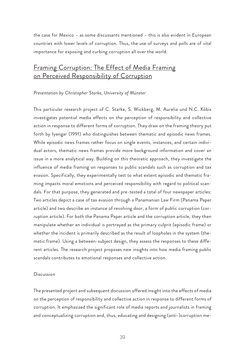the case for Mexico – as some discussants mentioned – this is also evident in European countries with lower levels of corruption. Thus, the use of surveys and polls are of vital importance for exposing and curbing corruption all over the world.

## Framing Corruption: The Effect of Media Framing on Perceived Responsibility of Corruption

#### *Presentation by Christopher Starke, University of Münster*

This particular research project of C. Starke, S. Wickberg, M. Aurelia und N.C. Köbis investigates potential media effects on the perception of responsibility and collective action in response to different forms of corruption. They draw on the framing theory put forth by Iyengar (1991) who distinguishes between thematic and episodic news frames. While episodic news frames rather focus on single events, instances, and certain individual actors, thematic news frames provide more background information and cover an issue in a more analytical way. Building on this theoretic approach, they investigate the influence of media framing on responses to public scandals such as corruption and tax evasion. Specifically, they experimentally test to what extent episodic and thematic framing impacts moral emotions and perceived responsibility with regard to political scandals. For that purpose, they generated and pre-tested a total of four newspaper articles: Two articles depict a case of tax evasion through a Panamanian Law Firm (Panama Paper article) and two describe an instance of revolving door, a form of public corruption (corruption article). For both the Panama Paper article and the corruption article, they then manipulate whether an individual is portrayed as the primary culprit (episodic frame) or whether the incident is primarily described as the result of loopholes in the system (thematic frame). Using a between-subject design, they assess the responses to these different articles. The research project proposes new insights into how media framing public scandals contributes to emotional responses and collective action.

#### Discussion

The presented project and subsequent discussion offered insight into the effects of media on the perception of responsibility and collective action in response to different forms of corruption. It emphasized the significant role of media reports and journalists in framing and conceptualizing corruption and, thus, educating and designing (anti-)corruption me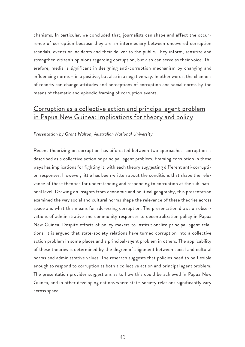chanisms. In particular, we concluded that, journalists can shape and affect the occurrence of corruption because they are an intermediary between uncovered corruption scandals, events or incidents and their deliver to the public. They inform, sensitize and strengthen citizen's opinions regarding corruption, but also can serve as their voice. Therefore, media is significant in designing anti-corruption mechanism by changing and influencing norms – in a positive, but also in a negative way. In other words, the channels of reports can change attitudes and perceptions of corruption and social norms by the means of thematic and episodic framing of corruption events.

## Corruption as a collective action and principal agent problem in Papua New Guinea: Implications for theory and policy

#### *Presentation by Grant Walton, Australian National University*

Recent theorizing on corruption has bifurcated between two approaches: corruption is described as a collective action or principal-agent problem. Framing corruption in these ways has implications for fighting it, with each theory suggesting different anti-corruption responses. However, little has been written about the conditions that shape the relevance of these theories for understanding and responding to corruption at the sub-national level. Drawing on insights from economic and political geography, this presentation examined the way social and cultural norms shape the relevance of these theories across space and what this means for addressing corruption. The presentation draws on observations of administrative and community responses to decentralization policy in Papua New Guinea. Despite efforts of policy makers to institutionalize principal-agent relations, it is argued that state-society relations have turned corruption into a collective action problem in some places and a principal-agent problem in others. The applicability of these theories is determined by the degree of alignment between social and cultural norms and administrative values. The research suggests that policies need to be flexible enough to respond to corruption as both a collective action and principal agent problem. The presentation provides suggestions as to how this could be achieved in Papua New Guinea, and in other developing nations where state-society relations significantly vary across space.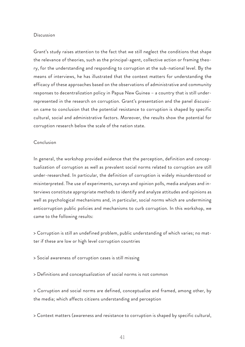#### Discussion

Grant's study raises attention to the fact that we still neglect the conditions that shape the relevance of theories, such as the principal-agent, collective action or framing theory, for the understanding and responding to corruption at the sub-national level. By the means of interviews, he has illustrated that the context matters for understanding the efficacy of these approaches based on the observations of administrative and community responses to decentralization policy in Papua New Guinea – a country that is still underrepresented in the research on corruption. Grant's presentation and the panel discussion came to conclusion that the potential resistance to corruption is shaped by specific cultural, social and administrative factors. Moreover, the results show the potential for corruption research below the scale of the nation state.

#### Conclusion

In general, the workshop provided evidence that the perception, definition and conceptualization of corruption as well as prevalent social norms related to corruption are still under-researched. In particular, the definition of corruption is widely misunderstood or misinterpreted. The use of experiments, surveys and opinion polls, media analyses and interviews constitute appropriate methods to identify and analyze attitudes and opinions as well as psychological mechanisms and, in particular, social norms which are undermining anticorruption public policies and mechanisms to curb corruption. In this workshop, we came to the following results:

> Corruption is still an undefined problem, public understanding of which varies; no matter if these are low or high level corruption countries

> Social awareness of corruption cases is still missing

> Definitions and conceptualization of social norms is not common

> Corruption and social norms are defined, conceptualize and framed, among other, by the media; which affects citizens understanding and perception

> Context matters (awareness and resistance to corruption is shaped by specific cultural,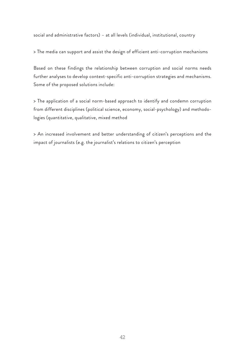social and administrative factors) – at all levels (individual, institutional, country

> The media can support and assist the design of efficient anti-corruption mechanisms

Based on these findings the relationship between corruption and social norms needs further analyses to develop context-specific anti-corruption strategies and mechanisms. Some of the proposed solutions include:

> The application of a social norm-based approach to identify and condemn corruption from different disciplines (political science, economy, social-psychology) and methodologies (quantitative, qualitative, mixed method

> An increased involvement and better understanding of citizen's perceptions and the impact of journalists (e.g. the journalist's relations to citizen's perception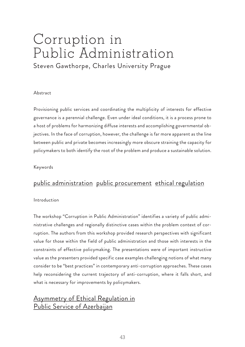## Corruption in Public Administration

Steven Gawthorpe, Charles University Prague

#### Abstract

Provisioning public services and coordinating the multiplicity of interests for effective governance is a perennial challenge. Even under ideal conditions, it is a process prone to a host of problems for harmonizing diffuse interests and accomplishing governmental objectives. In the face of corruption, however, the challenge is far more apparent as the line between public and private becomes increasingly more obscure straining the capacity for policymakers to both identify the root of the problem and produce a sustainable solution.

#### Keywords

## public administration public procurement ethical regulation

#### Introduction

The workshop "Corruption in Public Administration" identifies a variety of public administrative challenges and regionally distinctive cases within the problem context of corruption. The authors from this workshop provided research perspectives with significant value for those within the field of public administration and those with interests in the constraints of effective policymaking. The presentations were of important instructive value as the presenters provided specific case examples challenging notions of what many consider to be "best practices" in contemporary anti-corruption approaches. These cases help reconsidering the current trajectory of anti-corruption, where it falls short, and what is necessary for improvements by policymakers.

## Asymmetry of Ethical Regulation in Public Service of Azerbaijan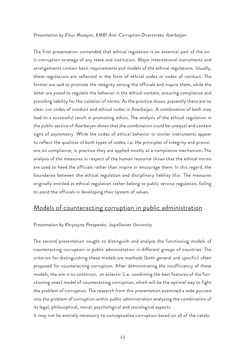#### *Presentation by Elnur Musayev, KMBI Anti-Corruption Directorate, Azerbaijan*

The first presentation contended that ethical regulation is an essential part of the anti-corruption strategy of any state and institution. Major international instruments and arrangements contain basic requirements and models of the ethical regulations. Usually, these regulations are reflected in the form of ethical codes or codes of conduct. The former are said to promote the integrity among the officials and inspire them, while the latter are posed to regulate the behavior in the ethical context, ensuring compliance and providing liability for the violation of norms. As the practice shows, presently there are no clear-cut codes of conduct and ethical codes in Azerbaijan. A combination of both may lead to a successful result in promoting ethics. The analysis of the ethical regulation in the public service of Azerbaijan shows that the combination could be unequal and contain signs of asymmetry. While the codes of ethical behavior or similar instruments appear to reflect the qualities of both types of codes, i.e. the principles of integrity and provisions on compliance, in practice they are applied mostly as a compliance mechanism. The analysis of the measures in respect of the human resource shows that the ethical norms are used to heed the officials rather than inspire or encourage them. In this regard, the boundaries between the ethical regulation and disciplinary liability blur. The measures originally entitled as ethical regulation rather belong to public service regulation, failing to assist the officials in developing their system of values.

### Models of counteracting corruption in public administration

#### *Presentation by Khrystyna Potapenko, Jagiellonian University*

The second presentation sought to distinguish and analyze the functioning models of counteracting corruption in public administration in different groups of countries. The criterion for distinguishing these models are methods (both general and specific) often proposed for counteracting corruption. After demonstrating the insufficiency of these models, the aim is to construct, an eclectic (i.e. combining the best features of the functioning ones) model of counteracting corruption, which will be the optimal way to fight the problem of corruption. The research from this presentation examined a wide purview into the problem of corruption within public administration analyzing the combination of its legal, philosophical, moral, psychological and sociological aspects.

It may not be entirely necessary to conceptualize corruption based on all of the catalo-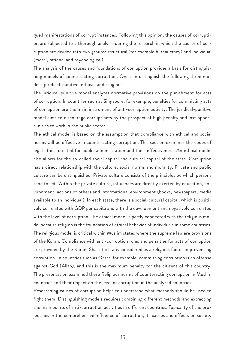gued manifestations of corrupt instances. Following this opinion, the causes of corruption are subjected to a thorough analysis during the research in which the causes of corruption are divided into two groups: structural (for example bureaucracy) and individual (moral, rational and psychological).

The analysis of the causes and foundations of corruption provides a basis for distinguishing models of counteracting corruption. One can distinguish the following three models: juridical-punitive, ethical, and religious.

The juridical-punitive model analyzes normative provisions on the punishment for acts of corruption. In countries such as Singapore, for example, penalties for committing acts of corruption are the main instrument of anti-corruption activity. The juridical-punitive model aims to discourage corrupt acts by the prospect of high penalty and lost opportunities to work in the public sector.

The ethical model is based on the assumption that compliance with ethical and social norms will be effective in counteracting corruption. This section examines the codes of legal ethics created for public administration and their effectiveness. An ethical model also allows for the so-called social capital and cultural capital of the state. Corruption has a direct relationship with the culture, social norms and morality. Private and public culture can be distinguished. Private culture consists of the principles by which persons tend to act. Within the private culture, influences are directly exerted by education, environment, actions of others and informational environment (books, newspapers, media available to an individual). In each state, there is a social-cultural capital, which is positively correlated with GDP per capita and with the development and negatively correlated with the level of corruption. The ethical model is partly connected with the religious model because religion is the foundation of ethical behavior of individuals in some countries. The religious model is critical within Muslim states where the supreme law are provisions of the Koran. Compliance with anti-corruption rules and penalties for acts of corruption are provided by the Koran. Shariatic law is considered as a religious factor in preventing corruption. In countries such as Qatar, for example, committing corruption is an offense against God (Allah), and this is the maximum penalty for the citizens of this country. The presentation examined these Religious norms of counteracting corruption in Muslim countries and their impact on the level of corruption in the analyzed countries.

Researching causes of corruption helps to understand what methods should be used to fight them. Distinguishing models requires combining different methods and extracting the main points of anti-corruption activities in different countries. Topicality of the project lies in the comprehensive influence of corruption, its causes and effects on society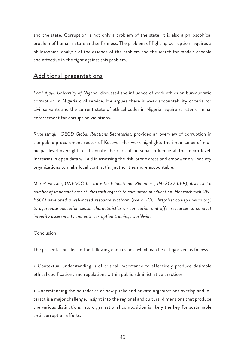and the state. Corruption is not only a problem of the state, it is also a philosophical problem of human nature and selfishness. The problem of fighting corruption requires a philosophical analysis of the essence of the problem and the search for models capable and effective in the fight against this problem.

### Additional presentations

*Femi Ajayi, University of Nigeria,* discussed the influence of work ethics on bureaucratic corruption in Nigeria civil service. He argues there is weak accountability criteria for civil servants and the current state of ethical codes in Nigeria require stricter criminal enforcement for corruption violations.

*Rrita Ismajli, OECD Global Relations Secretariat,* provided an overview of corruption in the public procurement sector of Kosovo. Her work highlights the importance of municipal-level oversight to attenuate the risks of personal influence at the micro level. Increases in open data will aid in assessing the risk-prone areas and empower civil society organizations to make local contracting authorities more accountable.

*Muriel Poisson, UNESCO Institute for Educational Planning (UNESCO-IIEP), discussed a number of important case studies with regards to corruption in education. Her work with UN-ESCO developed a web-based resource platform (see ETICO, http://etico.iiep.unesco.org) to aggregate education sector characteristics on corruption and offer resources to conduct integrity assessments and anti-corruption trainings worldwide.*

#### Conclusion

The presentations led to the following conclusions, which can be categorized as follows:

> Contextual understanding is of critical importance to effectively produce desirable ethical codifications and regulations within public administrative practices

> Understanding the boundaries of how public and private organizations overlap and interact is a major challenge. Insight into the regional and cultural dimensions that produce the various distinctions into organizational composition is likely the key for sustainable anti-corruption efforts.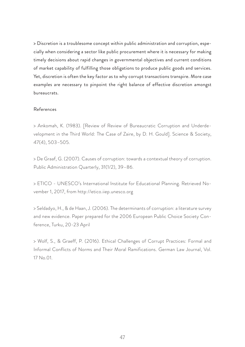> Discretion is a troublesome concept within public administration and corruption, especially when considering a sector like public procurement where it is necessary for making timely decisions about rapid changes in governmental objectives and current conditions of market capability of fulfilling those obligations to produce public goods and services. Yet, discretion is often the key factor as to why corrupt transactions transpire. More case examples are necessary to pinpoint the right balance of effective discretion amongst bureaucrats.

#### References

> Ankomah, K. (1983). [Review of Review of Bureaucratic Corruption and Underdevelopment in the Third World: The Case of Zaire, by D. H. Gould]. Science & Society, 47(4), 503–505.

> De Graaf, G. (2007). Causes of corruption: towards a contextual theory of corruption. Public Administration Quarterly, 31(1/2), 39–86.

> ETICO - UNESCO's International Institute for Educational Planning. Retrieved November 1, 2017, from http://etico.iiep.unesco.org

> Seldadyo, H., & de Haan, J. (2006). The determinants of corruption: a literature survey and new evidence. Paper prepared for the 2006 European Public Choice Society Conference, Turku, 20-23 April

> Wolf, S., & Graeff, P. (2016). Ethical Challenges of Corrupt Practices: Formal and Informal Conflicts of Norms and Their Moral Ramifications. German Law Journal, Vol. 17 No.01.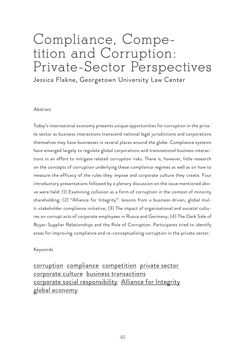## Compliance, Competition and Corruption: Private-Sector Perspectives

Jessica Flakne, Georgetown University Law Center

#### Abstract

Today's international economy presents unique opportunities for corruption in the private sector as business interactions transcend national legal jurisdictions and corporations themselves may have businesses in several places around the globe. Compliance systems have emerged largely to regulate global corporations and transnational business interactions in an effort to mitigate related corruption risks. There is, however, little research on the concepts of corruption underlying these compliance regimes as well as on how to measure the efficacy of the rules they impose and corporate culture they create. Four introductory presentations followed by a plenary discussion on the issue mentioned above were held: (1) Examining collusion as a form of corruption in the context of minority shareholding; (2) "Alliance for Integrity": lessons from a business-driven, global multi-stakeholder compliance initiative; (3) The impact of organizational and societal cultures on corrupt acts of corporate employees in Russia and Germany; (4) The Dark Side of Buyer-Supplier Relationships and the Role of Corruption. Participants tried to identify areas for improving compliance and re-conceptualizing corruption in the private sector.

#### Keywords

corruption compliance competition private sector corporate culture business transactions corporate social responsibility Alliance for Integrity global economy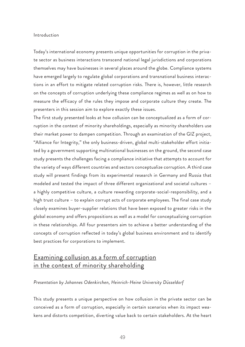#### Introduction

Today's international economy presents unique opportunities for corruption in the private sector as business interactions transcend national legal jurisdictions and corporations themselves may have businesses in several places around the globe. Compliance systems have emerged largely to regulate global corporations and transnational business interactions in an effort to mitigate related corruption risks. There is, however, little research on the concepts of corruption underlying these compliance regimes as well as on how to measure the efficacy of the rules they impose and corporate culture they create. The presenters in this session aim to explore exactly these issues.

The first study presented looks at how collusion can be conceptualized as a form of corruption in the context of minority shareholdings, especially as minority shareholders use their market power to dampen competition. Through an examination of the GIZ project, "Alliance for Integrity," the only business-driven, global multi-stakeholder effort initiated by a government supporting multinational businesses on the ground, the second case study presents the challenges facing a compliance initiative that attempts to account for the variety of ways different countries and sectors conceptualize corruption. A third case study will present findings from its experimental research in Germany and Russia that modeled and tested the impact of three different organizational and societal cultures – a highly competitive culture, a culture rewarding corporate-social-responsibility, and a high trust culture – to explain corrupt acts of corporate employees. The final case study closely examines buyer-supplier relations that have been exposed to greater risks in the global economy and offers propositions as well as a model for conceptualizing corruption in these relationships. All four presenters aim to achieve a better understanding of the concepts of corruption reflected in today's global business environment and to identify best practices for corporations to implement.

## Examining collusion as a form of corruption in the context of minority shareholding

#### *Presentation by Johannes Odenkirchen, Heinrich-Heine University Düsseldorf*

This study presents a unique perspective on how collusion in the private sector can be conceived as a form of corruption, especially in certain scenarios when its impact weakens and distorts competition, diverting value back to certain stakeholders. At the heart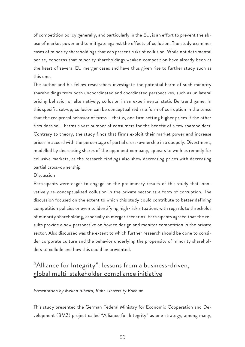of competition policy generally, and particularly in the EU, is an effort to prevent the abuse of market power and to mitigate against the effects of collusion. The study examines cases of minority shareholdings that can present risks of collusion. While not detrimental per se, concerns that minority shareholdings weaken competition have already been at the heart of several EU merger cases and have thus given rise to further study such as this one.

The author and his fellow researchers investigate the potential harm of such minority shareholdings from both uncoordinated and coordinated perspectives, such as unilateral pricing behavior or alternatively, collusion in an experimental static Bertrand game. In this specific set-up, collusion can be conceptualized as a form of corruption in the sense that the reciprocal behavior of firms – that is, one firm setting higher prices if the other firm does so – harms a vast number of consumers for the benefit of a few shareholders. Contrary to theory, the study finds that firms exploit their market power and increase prices in accord with the percentage of partial cross-ownership in a duopoly. Divestment, modelled by decreasing shares of the opponent company, appears to work as remedy for collusive markets, as the research findings also show decreasing prices with decreasing partial cross-ownership.

#### **Discussion**

Participants were eager to engage on the preliminary results of this study that innovatively re-conceptualized collusion in the private sector as a form of corruption. The discussion focused on the extent to which this study could contribute to better defining competition policies or even to identifying high-risk situations with regards to thresholds of minority shareholding, especially in merger scenarios. Participants agreed that the results provide a new perspective on how to design and monitor competition in the private sector. Also discussed was the extent to which further research should be done to consider corporate culture and the behavior underlying the propensity of minority shareholders to collude and how this could be prevented.

## "Alliance for Integrity": lessons from a business-driven, global multi-stakeholder compliance initiative

#### *Presentation by Melina Ribeiro, Ruhr-University Bochum*

This study presented the German Federal Ministry for Economic Cooperation and Development (BMZ) project called "Alliance for Integrity" as one strategy, among many,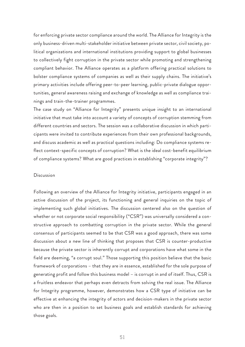for enforcing private sector compliance around the world. The Alliance for Integrity is the only business-driven multi-stakeholder initiative between private sector, civil society, political organizations and international institutions providing support to global businesses to collectively fight corruption in the private sector while promoting and strengthening compliant behavior. The Alliance operates as a platform offering practical solutions to bolster compliance systems of companies as well as their supply chains. The initiative's primary activities include offering peer-to-peer learning, public-private dialogue opportunities, general awareness raising and exchange of knowledge as well as compliance trainings and train-the-trainer programmes.

The case study on "Alliance for Integrity" presents unique insight to an international initiative that must take into account a variety of concepts of corruption stemming from different countries and sectors. The session was a collaborative discussion in which participants were invited to contribute experiences from their own professional backgrounds, and discuss academic as well as practical questions including: Do compliance systems reflect context-specific concepts of corruption? What is the ideal cost-benefit equilibrium of compliance systems? What are good practices in establishing "corporate integrity"?

#### **Discussion**

Following an overview of the Alliance for Integrity initiative, participants engaged in an active discussion of the project, its functioning and general inquiries on the topic of implementing such global initiatives. The discussion centered also on the question of whether or not corporate social responsibility ("CSR") was universally considered a constructive approach to combatting corruption in the private sector. While the general consensus of participants seemed to be that CSR was a good approach, there was some discussion about a new line of thinking that proposes that CSR is counter-productive because the private sector is inherently corrupt and corporations have what some in the field are deeming, "a corrupt soul." Those supporting this position believe that the basic framework of corporations – that they are in essence, established for the sole purpose of generating profit and follow this business model – is corrupt in and of itself. Thus, CSR is a fruitless endeavor that perhaps even detracts from solving the real issue. The Alliance for Integrity programme, however, demonstrates how a CSR type of initiative can be effective at enhancing the integrity of actors and decision-makers in the private sector who are then in a position to set business goals and establish standards for achieving those goals.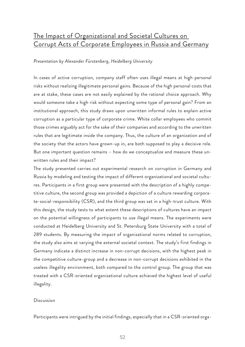## The Impact of Organizational and Societal Cultures on Corrupt Acts of Corporate Employees in Russia and Germany

#### *Presentation by Alexander Fürstenberg, Heidelberg University*

In cases of active corruption, company staff often uses illegal means at high personal risks without realizing illegitimate personal gains. Because of the high personal costs that are at stake, these cases are not easily explained by the rational choice approach. Why would someone take a high risk without expecting some type of personal gain? From an institutional approach, this study draws upon unwritten informal rules to explain active corruption as a particular type of corporate crime. White collar employees who commit those crimes arguably act for the sake of their companies and according to the unwritten rules that are legitimate inside the company. Thus, the culture of an organization and of the society that the actors have grown-up in, are both supposed to play a decisive role. But one important question remains – how do we conceptualize and measure these unwritten rules and their impact?

The study presented carries out experimental research on corruption in Germany and Russia by modeling and testing the impact of different organizational and societal cultures. Participants in a first group were presented with the description of a highly competitive culture, the second group was provided a depiction of a culture rewarding corporate-social-responsibility (CSR), and the third group was set in a high-trust culture. With this design, the study tests to what extent these descriptions of cultures have an impact on the potential willingness of participants to use illegal means. The experiments were conducted at Heidelberg University and St. Petersburg State University with a total of 289 students. By measuring the impact of organizational norms related to corruption, the study also aims at varying the external societal context. The study's first findings in Germany indicate a distinct increase in non-corrupt decisions, with the highest peak in the competitive culture-group and a decrease in non-corrupt decisions exhibited in the useless illegality environment, both compared to the control group. The group that was treated with a CSR-oriented organizational culture achieved the highest level of useful illegality.

#### Discussion

Participants were intrigued by the initial findings, especially that in a CSR-oriented orga-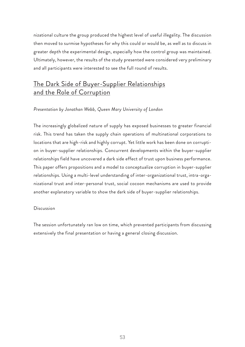nizational culture the group produced the highest level of useful illegality. The discussion then moved to surmise hypotheses for why this could or would be, as well as to discuss in greater depth the experimental design, especially how the control group was maintained. Ultimately, however, the results of the study presented were considered very preliminary and all participants were interested to see the full round of results.

## The Dark Side of Buyer-Supplier Relationships and the Role of Corruption

#### *Presentation by Jonathan Webb, Queen Mary University of London*

The increasingly globalized nature of supply has exposed businesses to greater financial risk. This trend has taken the supply chain operations of multinational corporations to locations that are high-risk and highly corrupt. Yet little work has been done on corruption in buyer-supplier relationships. Concurrent developments within the buyer-supplier relationships field have uncovered a dark side effect of trust upon business performance. This paper offers propositions and a model to conceptualize corruption in buyer-supplier relationships. Using a multi-level understanding of inter-organizational trust, intra-organizational trust and inter-personal trust, social cocoon mechanisms are used to provide another explanatory variable to show the dark side of buyer-supplier relationships.

#### Discussion

The session unfortunately ran low on time, which prevented participants from discussing extensively the final presentation or having a general closing discussion.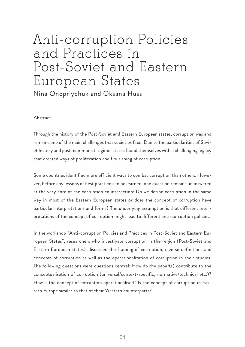## Anti-corruption Policies and Practices in Post-Soviet and Eastern European States

Nina Onopriychuk and Oksana Huss

Abstract

Through the history of the Post-Soviet and Eastern European states, corruption was and remains one of the main challenges that societies face. Due to the particularities of Soviet history and post-communist regime, states found themselves with a challenging legacy that created ways of proliferation and flourishing of corruption.

Some countries identified more efficient ways to combat corruption than others. However, before any lessons of best practice can be learned, one question remains unanswered at the very core of the corruption counteraction: Do we define corruption in the same way in most of the Eastern European states or does the concept of corruption have particular interpretations and forms? The underlying assumption is that different interpretations of the concept of corruption might lead to different anti-corruption policies.

In the workshop "Anti-corruption Policies and Practices in Post-Soviet and Eastern European States", researchers who investigate corruption in the region (Post-Soviet and Eastern European states), discussed the framing of corruption, diverse definitions and concepts of corruption as well as the operationalization of corruption in their studies. The following questions were questions central: How do the paper(s) contribute to the conceptualisation of corruption (universal/context-specific; normative/technical etc.)? How is the concept of corruption operationalised? Is the concept of corruption in Eastern Europe similar to that of their Western counterparts?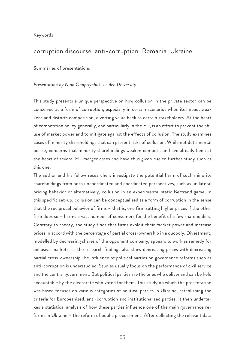Keywords

### corruption discourse anti-corruption Romania Ukraine

Summaries of presentations

#### *Presentation by Nina Onopriychuk, Leiden University*

This study presents a unique perspective on how collusion in the private sector can be conceived as a form of corruption, especially in certain scenarios when its impact weakens and distorts competition, diverting value back to certain stakeholders. At the heart of competition policy generally, and particularly in the EU, is an effort to prevent the abuse of market power and to mitigate against the effects of collusion. The study examines cases of minority shareholdings that can present risks of collusion. While not detrimental per se, concerns that minority shareholdings weaken competition have already been at the heart of several EU merger cases and have thus given rise to further study such as this one.

The author and his fellow researchers investigate the potential harm of such minority shareholdings from both uncoordinated and coordinated perspectives, such as unilateral pricing behavior or alternatively, collusion in an experimental static Bertrand game. In this specific set-up, collusion can be conceptualized as a form of corruption in the sense that the reciprocal behavior of firms – that is, one firm setting higher prices if the other firm does so – harms a vast number of consumers for the benefit of a few shareholders. Contrary to theory, the study finds that firms exploit their market power and increase prices in accord with the percentage of partial cross-ownership in a duopoly. Divestment, modelled by decreasing shares of the opponent company, appears to work as remedy for collusive markets, as the research findings also show decreasing prices with decreasing partial cross-ownership.The influence of political parties on governance reforms such as anti-corruption is understudied. Studies usually focus on the performance of civil service and the central government. But political parties are the ones who deliver and can be held accountable by the electorate who voted for them. This study on which the presentation was based focuses on various categories of political parties in Ukraine, establishing the criteria for Europeanized, anti-corruption and institutionalized parties. It then undertakes a statistical analysis of how these parties influence one of the main governance reforms in Ukraine – the reform of public procurement. After collecting the relevant data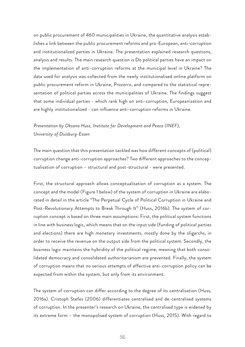on public procurement of 460 municipalities in Ukraine, the quantitative analysis establishes a link between the public procurement reforms and pro-European, anti-corruption and institutionalized parties in Ukraine. The presentation explained research questions, analysis and results. The main research question is Do political parties have an impact on the implementation of anti-corruption reforms at the municipal level in Ukraine? The data used for analysis was collected from the newly institutionalised online platform on public procurement reform in Ukraine, Prozorro, and compared to the statistical representation of political parties across the municipalities of Ukraine. The findings suggest that some individual parties - which rank high on anti-corruption, Europeanization and are highly institutionalized - can influence anti-corruption reforms in Ukraine.

### *Presentation by Oksana Huss, Institute for Development and Peace (INEF), University of Duisburg-Essen*

The main question that this presentation tackled was how different concepts of (political) corruption change anti-corruption approaches? Two different approaches to the conceptualisation of corruption – structural and post-structural - were presented.

First, the structural approach allows conceptualisation of corruption as a system. The concept and the model (Figure 1 below) of the system of corruption in Ukraine are elaborated in detail in the article "The Perpetual Cycle of Political Corruption in Ukraine and Post-Revolutionary Attempts to Break Through It" (Huss, 2016b). The system of corruption concept is based on three main assumptions: First, the political system functions in line with business logic, which means that on the input side (funding of political parties and elections) there are high monetary investments, mostly done by the oligarchs, in order to receive the revenue on the output side from the political system. Secondly, the business logic maintains the hybridity of the political regime, meaning that both consolidated democracy and consolidated authoritarianism are prevented. Finally, the system of corruption means that no serious attempts of effective anti-corruption policy can be expected from within the system, but only from its environment.

The system of corruption can differ according to the degree of its centralisation (Huss, 2016a). Cristoph Stefes (2006) differentiates centralised and de-centralised systems of corruption. In the presenter's research on Ukraine, the centralised type is widened by its extreme form – the monopolised system of corruption (Huss, 2015). With regard to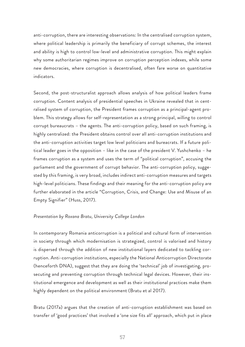anti-corruption, there are interesting observations: In the centralised corruption system, where political leadership is primarily the beneficiary of corrupt schemes, the interest and ability is high to control low-level and administrative corruption. This might explain why some authoritarian regimes improve on corruption perception indexes, while some new democracies, where corruption is decentralised, often fare worse on quantitative indicators.

Second, the post-structuralist approach allows analysis of how political leaders frame corruption. Content analysis of presidential speeches in Ukraine revealed that in centralised system of corruption, the President frames corruption as a principal-agent problem. This strategy allows for self-representation as a strong principal, willing to control corrupt bureaucrats – the agents. The anti-corruption policy, based on such framing, is highly centralized: the President obtains control over all anti-corruption institutions and the anti-corruption activities target low level politicians and bureacrats. If a future political leader goes in the opposition – like in the case of the president V. Yushchenko – he frames corruption as a system and uses the term of "political corruption", accusing the parliament and the government of corrupt behavior. The anti-corruption policy, suggested by this framing, is very broad, includes indirect anti-corruption measures and targets high-level politicians. These findings and their meaning for the anti-corruption policy are further elaborated in the article "Corruption, Crisis, and Change: Use and Misuse of an Empty Signifier" (Huss, 2017).

#### *Presentation by Roxana Bratu, University College London*

In contemporary Romania anticorruption is a political and cultural form of intervention in society through which modernisation is strategized, control is valorised and history is dispersed through the addition of new institutional layers dedicated to tackling corruption. Anti-corruption institutions, especially the National Anticorruption Directorate (henceforth DNA), suggest that they are doing the 'technical' job of investigating, prosecuting and preventing corruption through technical legal devices. However, their institutional emergence and development as well as their institutional practices make them highly dependent on the political environment (Bratu et al 2017).

Bratu (2017a) argues that the creation of anti-corruption establishment was based on transfer of 'good practices' that involved a 'one size fits all' approach, which put in place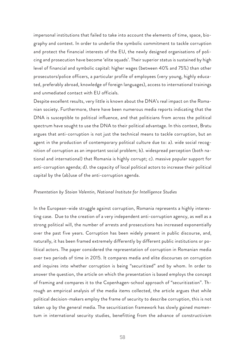impersonal institutions that failed to take into account the elements of time, space, biography and context. In order to underlie the symbolic commitment to tackle corruption and protect the financial interests of the EU, the newly designed organisations of policing and prosecution have become 'elite squads'. Their superior status is sustained by high level of financial and symbolic capital: higher wages (between 40% and 75%) than other prosecutors/police officers, a particular profile of employees (very young, highly educated, preferably abroad, knowledge of foreign languages), access to international trainings and unmediated contact with EU officials.

Despite excellent results, very little is known about the DNA's real impact on the Romanian society. Furthermore, there have been numerous media reports indicating that the DNA is susceptible to political influence, and that politicians from across the political spectrum have sought to use the DNA to their political advantage. In this context, Bratu argues that anti-corruption is not just the technical means to tackle corruption, but an agent in the production of contemporary political culture due to: a). wide social recognition of corruption as an important social problem; b). widespread perception (both national and international) that Romania is highly corrupt; c). massive popular support for anti-corruption agenda; d). the capacity of local political actors to increase their political capital by the (ab)use of the anti-corruption agenda.

#### *Presentation by Stoian Valentin, National Institute for Intelligence Studies*

In the European-wide struggle against corruption, Romania represents a highly interesting case. Due to the creation of a very independent anti-corruption agency, as well as a strong political will, the number of arrests and prosecutions has increased exponentially over the past five years. Corruption has been widely present in public discourse, and, naturally, it has been framed extremely differently by different public institutions or political actors. The paper considered the representation of corruption in Romanian media over two periods of time in 2015. It compares media and elite discourses on corruption and inquires into whether corruption is being "securitized" and by whom. In order to answer the question, the article on which the presentation is based employs the concept of framing and compares it to the Copenhagen-school approach of "securitization". Through an empirical analysis of the media items collected, the article argues that while political decision-makers employ the frame of security to describe corruption, this is not taken up by the general media. The securitization framework has slowly gained momentum in international security studies, benefitting from the advance of constructivism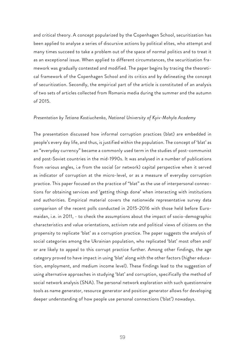and critical theory. A concept popularized by the Copenhagen School, securitization has been applied to analyse a series of discursive actions by political elites, who attempt and many times succeed to take a problem out of the space of normal politics and to treat it as an exceptional issue. When applied to different circumstances, the securitization framework was gradually contested and modified. The paper begins by tracing the theoretical framework of the Copenhagen School and its critics and by delineating the concept of securitization. Secondly, the empirical part of the article is constituted of an analysis of two sets of articles collected from Romania media during the summer and the autumn of 2015.

#### *Presentation by Tetiana Kostiuchenko, National University of Kyiv-Mohyla Academy*

The presentation discussed how informal corruption practices (blat) are embedded in people's every day life, and thus, is justified within the population. The concept of 'blat' as an "everyday currency" became a commonly used term in the studies of post-communist and post-Soviet countries in the mid-1990s. It was analysed in a number of publications from various angles, i.e from the social (or network) capital perspective when it served as indicator of corruption at the micro-level, or as a measure of everyday corruption practice. This paper focused on the practice of "blat" as the use of interpersonal connections for obtaining services and 'getting things done' when interacting with institutions and authorities. Empirical material covers the nationwide representative survey data comparison of the recent polls conducted in 2015-2016 with those held before Euromaidan, i.e. in 2011, - to check the assumptions about the impact of socio-demographic characteristics and value orientations, activism rate and political views of citizens on the propensity to replicate 'blat' as a corruption practice. The paper suggests the analysis of social categories among the Ukrainian population, who replicated 'blat' most often and/ or are likely to appeal to this corrupt practice further. Among other findings, the age category proved to have impact in using 'blat' along with the other factors (higher education, employment, and medium income level). These findings lead to the suggestion of using alternative approaches in studying 'blat' and corruption, specifically the method of social network analysis (SNA). The personal network exploration with such questionnaire tools as name generator, resource generator and position generator allows for developing deeper understanding of how people use personal connections ('blat') nowadays.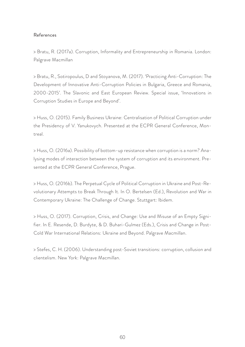#### References

> Bratu, R. (2017a). Corruption, Informality and Entrepreneurship in Romania. London: Palgrave Macmillan

> Bratu, R., Sotiropoulus, D and Stoyanova, M. (2017). 'Practicing Anti-Corruption: The Development of Innovative Anti-Corruption Policies in Bulgaria, Greece and Romania, 2000-2015'. The Slavonic and East European Review. Special issue, 'Innovations in Corruption Studies in Europe and Beyond'.

> Huss, O. (2015). Family Business Ukraine: Centralisation of Political Corruption under the Presidency of V. Yanukovych. Presented at the ECPR General Conference, Montreal.

> Huss, O. (2016a). Possibility of bottom-up resistance when corruption is a norm? Analysing modes of interaction between the system of corruption and its environment. Presented at the ECPR General Conference, Prague.

> Huss, O. (2016b). The Perpetual Cycle of Political Corruption in Ukraine and Post-Revolutionary Attempts to Break Through It. In O. Bertelsen (Ed.), Revolution and War in Contemporary Ukraine: The Challenge of Change. Stuttgart: Ibidem.

> Huss, O. (2017). Corruption, Crisis, and Change: Use and Misuse of an Empty Signifier. In E. Resende, D. Burdyte, & D. Buhari-Gulmez (Eds.), Crisis and Change in Post-Cold War International Relations: Ukraine and Beyond. Palgrave Macmillan.

> Stefes, C. H. (2006). Understanding post-Soviet transitions: corruption, collusion and clientelism. New York: Palgrave Macmillan.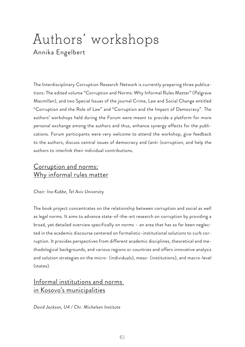## Authors' workshops Annika Engelbert

The Interdisciplinary Corruption Research Network is currently preparing three publications: The edited volume "Corruption and Norms: Why Informal Rules Matter" (Palgrave Macmillan), and two Special Issues of the journal Crime, Law and Social Change entitled "Corruption and the Role of Law" and "Corruption and the Impact of Democracy". The authors' workshops held during the Forum were meant to provide a platform for more personal exchange among the authors and thus, enhance synergy effects for the publications. Forum participants were very welcome to attend the workshop, give feedback to the authors, discuss central issues of democracy and (anti-)corruption, and help the authors to interlink their individual contributions.

## Corruption and norms: Why informal rules matter

#### *Chair: Ina Kubbe, Tel Aviv University*

The book project concentrates on the relationship between corruption and social as well as legal norms. It aims to advance state-of-the-art research on corruption by providing a broad, yet detailed overview specifically on norms – an area that has so far been neglected in the academic discourse centered on formalistic-institutional solutions to curb corruption. It provides perspectives from different academic disciplines, theoretical and methodological backgrounds, and various regions or countries and offers innovative analysis and solution strategies on the micro- (individuals), meso- (institutions), and macro-level (states).

## Informal institutions and norms in Kosovo's municipalities

*David Jackson, U4 / Chr. Michelsen Institute*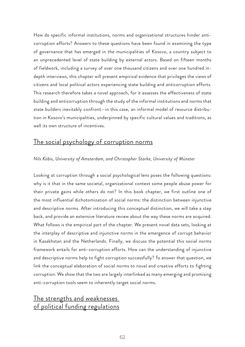How do specific informal institutions, norms and organizational structures hinder anticorruption efforts? Answers to these questions have been found in examining the type of governance that has emerged in the municipalities of Kosovo, a country subject to an unprecedented level of state building by external actors. Based on fifteen months of fieldwork, including a survey of over one thousand citizens and over one hundred indepth interviews, this chapter will present empirical evidence that privileges the views of citizens and local political actors experiencing state building and anticorruption efforts. This research therefore takes a novel approach, for it assesses the effectiveness of state building and anticorruption through the study of the informal institutions and norms that state builders inevitably confront—in this case, an informal model of resource distribution in Kosovo's municipalities, underpinned by specific cultural values and traditions, as well its own structure of incentives.

### The social psychology of corruption norms

#### *Nils Köbis, University of Amsterdam, and Christopher Starke, University of Münster*

Looking at corruption through a social psychological lens poses the following questions: why is it that in the same societal, organizational context some people abuse power for their private gains while others do not? In this book chapter, we first outline one of the most influential dichotomization of social norms: the distinction between injunctive and descriptive norms. After introducing this conceptual distinction, we will take a step back, and provide an extensive literature review about the way these norms are acquired. What follows is the empirical part of the chapter. We present novel data sets, looking at the interplay of descriptive and injunctive norms in the emergence of corrupt behavior in Kazakhstan and the Netherlands. Finally, we discuss the potential this social norms framework entails for anti-corruption efforts. How can the understanding of injunctive and descriptive norms help to fight corruption successfully? To answer that question, we link the conceptual elaboration of social norms to novel and creative efforts to fighting corruption. We show that the two are largely interlinked as many emerging and promising anti-corruption tools seem to inherently target social norms.

## The strengths and weaknesses of political funding regulations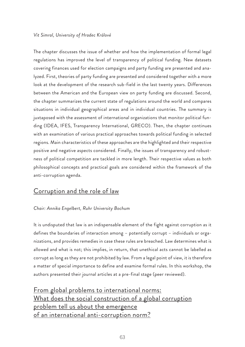#### *Vit Simral, University of Hradec Králové*

The chapter discusses the issue of whether and how the implementation of formal legal regulations has improved the level of transparency of political funding. New datasets covering finances used for election campaigns and party funding are presented and analyzed. First, theories of party funding are presented and considered together with a more look at the development of the research sub-field in the last twenty years. Differences between the American and the European view on party funding are discussed. Second, the chapter summarizes the current state of regulations around the world and compares situations in individual geographical areas and in individual countries. The summary is juxtaposed with the assessment of international organizations that monitor political funding (IDEA, IFES, Transparency International, GRECO). Then, the chapter continues with an examination of various practical approaches towards political funding in selected regions. Main characteristics of these approaches are the highlighted and their respective positive and negative aspects considered. Finally, the issues of transparency and robustness of political competition are tackled in more length. Their respective values as both philosophical concepts and practical goals are considered within the framework of the anti-corruption agenda.

## Corruption and the role of law

#### *Chair: Annika Engelbert, Ruhr University Bochum*

It is undisputed that law is an indispensable element of the fight against corruption as it defines the boundaries of interaction among – potentially corrupt – individuals or organizations, and provides remedies in case these rules are breached. Law determines what is allowed and what is not; this implies, in return, that unethical acts cannot be labelled as corrupt as long as they are not prohibited by law. From a legal point of view, it is therefore a matter of special importance to define and examine formal rules. In this workshop, the authors presented their journal articles at a pre-final stage (peer reviewed).

From global problems to international norms: What does the social construction of a global corruption problem tell us about the emergence of an international anti-corruption norm?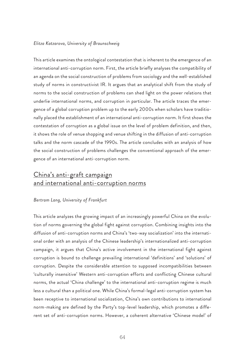#### *Elitza Katzarova, University of Braunschweig*

This article examines the ontological contestation that is inherent to the emergence of an international anti-corruption norm. First, the article briefly analyses the compatibility of an agenda on the social construction of problems from sociology and the well-established study of norms in constructivist IR. It argues that an analytical shift from the study of norms to the social construction of problems can shed light on the power relations that underlie international norms, and corruption in particular. The article traces the emergence of a global corruption problem up to the early 2000s when scholars have traditionally placed the establishment of an international anti-corruption norm. It first shows the contestation of corruption as a global issue on the level of problem definition, and then, it shows the role of venue shopping and venue shifting in the diffusion of anti-corruption talks and the norm cascade of the 1990s. The article concludes with an analysis of how the social construction of problems challenges the conventional approach of the emergence of an international anti-corruption norm.

## China's anti-graft campaign and international anti-corruption norms

#### *Bertram Lang, University of Frankfurt*

This article analyzes the growing impact of an increasingly powerful China on the evolution of norms governing the global fight against corruption. Combining insights into the diffusion of anti-corruption norms and China's 'two-way socialization' into the international order with an analysis of the Chinese leadership's internationalized anti-corruption campaign, it argues that China's active involvement in the international fight against corruption is bound to challenge prevailing international 'definitions' and 'solutions' of corruption. Despite the considerable attention to supposed incompatibilities between 'culturally insensitive' Western anti-corruption efforts and conflicting Chinese cultural norms, the actual 'China challenge' to the international anti-corruption regime is much less a cultural than a political one. While China's formal-legal anti-corruption system has been receptive to international socialization, China's own contributions to international norm-making are defined by the Party's top-level leadership, which promotes a different set of anti-corruption norms. However, a coherent alternative 'Chinese model' of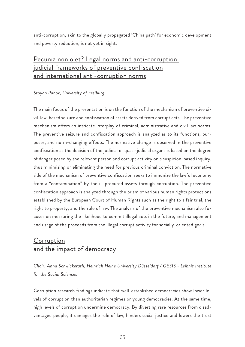anti-corruption, akin to the globally propagated 'China path' for economic development and poverty reduction, is not yet in sight.

## Pecunia non olet? Legal norms and anti-corruption judicial frameworks of preventive confiscation and international anti-corruption norms

#### *Stoyan Panov, University of Freiburg*

The main focus of the presentation is on the function of the mechanism of preventive civil-law-based seizure and confiscation of assets derived from corrupt acts. The preventive mechanism offers an intricate interplay of criminal, administrative and civil law norms. The preventive seizure and confiscation approach is analyzed as to its functions, purposes, and norm-changing effects. The normative change is observed in the preventive confiscation as the decision of the judicial or quasi-judicial organs is based on the degree of danger posed by the relevant person and corrupt activity on a suspicion-based inquiry, thus minimizing or eliminating the need for previous criminal conviction. The normative side of the mechanism of preventive confiscation seeks to immunize the lawful economy from a "contamination" by the ill-procured assets through corruption. The preventive confiscation approach is analyzed through the prism of various human rights protections established by the European Court of Human Rights such as the right to a fair trial, the right to property, and the rule of law. The analysis of the preventive mechanism also focuses on measuring the likelihood to commit illegal acts in the future, and management and usage of the proceeds from the illegal corrupt activity for socially-oriented goals.

## **Corruption** and the impact of democracy

*Chair: Anna Schwickerath, Heinrich Heine University Düsseldorf / GESIS - Leibniz Institute for the Social Sciences*

Corruption research findings indicate that well-established democracies show lower levels of corruption than authoritarian regimes or young democracies. At the same time, high levels of corruption undermine democracy. By diverting rare resources from disadvantaged people, it damages the rule of law, hinders social justice and lowers the trust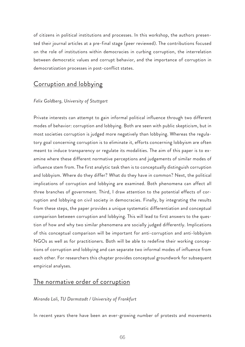of citizens in political institutions and processes. In this workshop, the authors presented their journal articles at a pre-final stage (peer reviewed). The contributions focused on the role of institutions within democracies in curbing corruption, the interrelation between democratic values and corrupt behavior, and the importance of corruption in democratization processes in post-conflict states.

### Corruption and lobbying

#### *Felix Goldberg, University of Stuttgart*

Private interests can attempt to gain informal political influence through two different modes of behavior: corruption and lobbying. Both are seen with public skepticism, but in most societies corruption is judged more negatively than lobbying. Whereas the regulatory goal concerning corruption is to eliminate it, efforts concerning lobbyism are often meant to induce transparency or regulate its modalities. The aim of this paper is to examine where these different normative perceptions and judgements of similar modes of influence stem from. The first analytic task then is to conceptually distinguish corruption and lobbyism. Where do they differ? What do they have in common? Next, the political implications of corruption and lobbying are examined. Both phenomena can affect all three branches of government. Third, I draw attention to the potential effects of corruption and lobbying on civil society in democracies. Finally, by integrating the results from these steps, the paper provides a unique systematic differentiation and conceptual comparison between corruption and lobbying. This will lead to first answers to the question of how and why two similar phenomena are socially judged differently. Implications of this conceptual comparison will be important for anti-corruption and anti-lobbyism NGOs as well as for practitioners. Both will be able to redefine their working conceptions of corruption and lobbying and can separate two informal modes of influence from each other. For researchers this chapter provides conceptual groundwork for subsequent empirical analyses.

#### The normative order of corruption

#### *Miranda Loli, TU Darmstadt / University of Frankfurt*

In recent years there have been an ever-growing number of protests and movements